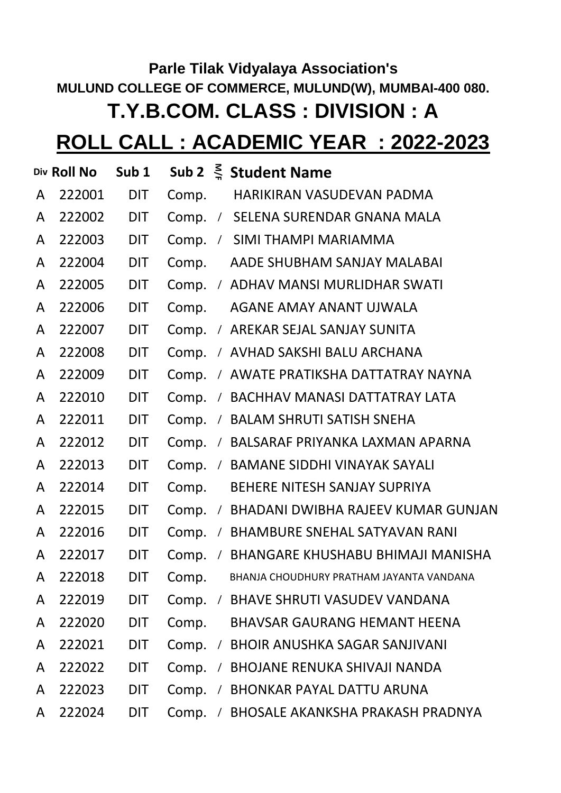## **Parle Tilak Vidyalaya Association's MULUND COLLEGE OF COMMERCE, MULUND(W), MUMBAI-400 080. T.Y.B.COM. CLASS : DIVISION : A**

## **ROLL CALL : ACADEMIC YEAR : 2022-2023**

|   | Div Roll No | Sub <sub>1</sub> |       |            | Sub 2 $\leq$ Student Name                  |
|---|-------------|------------------|-------|------------|--------------------------------------------|
| A | 222001      | <b>DIT</b>       | Comp. |            | HARIKIRAN VASUDEVAN PADMA                  |
| A | 222002      | <b>DIT</b>       |       |            | Comp. / SELENA SURENDAR GNANA MALA         |
| A | 222003      | <b>DIT</b>       |       |            | Comp. / SIMI THAMPI MARIAMMA               |
| A | 222004      | <b>DIT</b>       |       |            | Comp. AADE SHUBHAM SANJAY MALABAI          |
| A | 222005      | <b>DIT</b>       |       |            | Comp. / ADHAV MANSI MURLIDHAR SWATI        |
| A | 222006      | <b>DIT</b>       |       |            | Comp. AGANE AMAY ANANT UJWALA              |
| A | 222007      | <b>DIT</b>       |       |            | Comp. / AREKAR SEJAL SANJAY SUNITA         |
| A | 222008      | <b>DIT</b>       |       |            | Comp. / AVHAD SAKSHI BALU ARCHANA          |
| A | 222009      | <b>DIT</b>       |       |            | Comp. / AWATE PRATIKSHA DATTATRAY NAYNA    |
| A | 222010      | <b>DIT</b>       |       |            | Comp. / BACHHAV MANASI DATTATRAY LATA      |
| A | 222011      | <b>DIT</b>       |       |            | Comp. / BALAM SHRUTI SATISH SNEHA          |
| A | 222012      | <b>DIT</b>       |       |            | Comp. / BALSARAF PRIYANKA LAXMAN APARNA    |
| A | 222013      | <b>DIT</b>       |       |            | Comp. / BAMANE SIDDHI VINAYAK SAYALI       |
| A | 222014      | <b>DIT</b>       |       |            | Comp. BEHERE NITESH SANJAY SUPRIYA         |
| A | 222015      | <b>DIT</b>       |       |            | Comp. / BHADANI DWIBHA RAJEEV KUMAR GUNJAN |
| A | 222016      | <b>DIT</b>       |       |            | Comp. / BHAMBURE SNEHAL SATYAVAN RANI      |
| A | 222017      | <b>DIT</b>       |       |            | Comp. / BHANGARE KHUSHABU BHIMAJI MANISHA  |
| A | 222018      | <b>DIT</b>       | Comp. |            | BHANJA CHOUDHURY PRATHAM JAYANTA VANDANA   |
| A | 222019      | DIT              | Comp. | $\sqrt{2}$ | BHAVE SHRUTI VASUDEV VANDANA               |
| A | 222020      | <b>DIT</b>       | Comp. |            | <b>BHAVSAR GAURANG HEMANT HEENA</b>        |
| A | 222021      | <b>DIT</b>       | Comp. | $\sqrt{2}$ | BHOIR ANUSHKA SAGAR SANJIVANI              |
| A | 222022      | <b>DIT</b>       | Comp. | $\sqrt{2}$ | <b>BHOJANE RENUKA SHIVAJI NANDA</b>        |
| A | 222023      | <b>DIT</b>       | Comp. | $\sqrt{2}$ | <b>BHONKAR PAYAL DATTU ARUNA</b>           |
| A | 222024      | DIT              | Comp. | $\sqrt{2}$ | BHOSALE AKANKSHA PRAKASH PRADNYA           |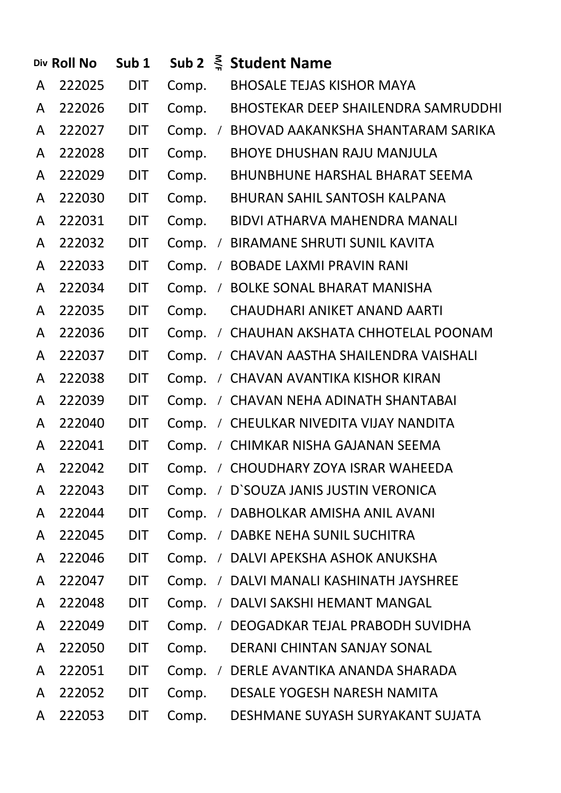|   | Div Roll No | Sub <sub>1</sub> |       |            | Sub 2 $\leq$ Student Name                  |
|---|-------------|------------------|-------|------------|--------------------------------------------|
| A | 222025      | <b>DIT</b>       | Comp. |            | <b>BHOSALE TEJAS KISHOR MAYA</b>           |
| A | 222026      | <b>DIT</b>       | Comp. |            | <b>BHOSTEKAR DEEP SHAILENDRA SAMRUDDHI</b> |
| A | 222027      | <b>DIT</b>       | Comp. | $\sqrt{2}$ | BHOVAD AAKANKSHA SHANTARAM SARIKA          |
| A | 222028      | <b>DIT</b>       | Comp. |            | <b>BHOYE DHUSHAN RAJU MANJULA</b>          |
| A | 222029      | <b>DIT</b>       | Comp. |            | <b>BHUNBHUNE HARSHAL BHARAT SEEMA</b>      |
| A | 222030      | <b>DIT</b>       | Comp. |            | <b>BHURAN SAHIL SANTOSH KALPANA</b>        |
| A | 222031      | <b>DIT</b>       | Comp. |            | BIDVI ATHARVA MAHENDRA MANALI              |
| A | 222032      | <b>DIT</b>       | Comp. |            | / BIRAMANE SHRUTI SUNIL KAVITA             |
| A | 222033      | <b>DIT</b>       | Comp. |            | / BOBADE LAXMI PRAVIN RANI                 |
| A | 222034      | <b>DIT</b>       | Comp. |            | / BOLKE SONAL BHARAT MANISHA               |
| A | 222035      | <b>DIT</b>       | Comp. |            | CHAUDHARI ANIKET ANAND AARTI               |
| A | 222036      | <b>DIT</b>       | Comp. |            | / CHAUHAN AKSHATA CHHOTELAL POONAM         |
| A | 222037      | <b>DIT</b>       | Comp. |            | / CHAVAN AASTHA SHAILENDRA VAISHALI        |
| A | 222038      | <b>DIT</b>       | Comp. |            | / CHAVAN AVANTIKA KISHOR KIRAN             |
| A | 222039      | <b>DIT</b>       | Comp. |            | / CHAVAN NEHA ADINATH SHANTABAI            |
| A | 222040      | <b>DIT</b>       | Comp. |            | / CHEULKAR NIVEDITA VIJAY NANDITA          |
| A | 222041      | <b>DIT</b>       | Comp. |            | / CHIMKAR NISHA GAJANAN SEEMA              |
| A | 222042      | <b>DIT</b>       | Comp. |            | / CHOUDHARY ZOYA ISRAR WAHEEDA             |
| A | 222043      | <b>DIT</b>       | Comp. |            | / D'SOUZA JANIS JUSTIN VERONICA            |
| A | 222044      | <b>DIT</b>       | Comp. |            | / DABHOLKAR AMISHA ANIL AVANI              |
| A | 222045      | <b>DIT</b>       | Comp. |            | / DABKE NEHA SUNIL SUCHITRA                |
| A | 222046      | <b>DIT</b>       | Comp. |            | / DALVI APEKSHA ASHOK ANUKSHA              |
| A | 222047      | <b>DIT</b>       | Comp. |            | / DALVI MANALI KASHINATH JAYSHREE          |
| A | 222048      | <b>DIT</b>       | Comp. |            | / DALVI SAKSHI HEMANT MANGAL               |
| A | 222049      | <b>DIT</b>       | Comp. | $\sqrt{2}$ | DEOGADKAR TEJAL PRABODH SUVIDHA            |
| A | 222050      | <b>DIT</b>       | Comp. |            | <b>DERANI CHINTAN SANJAY SONAL</b>         |
| A | 222051      | <b>DIT</b>       | Comp. |            | / DERLE AVANTIKA ANANDA SHARADA            |
| A | 222052      | <b>DIT</b>       | Comp. |            | DESALE YOGESH NARESH NAMITA                |
| A | 222053      | <b>DIT</b>       | Comp. |            | DESHMANE SUYASH SURYAKANT SUJATA           |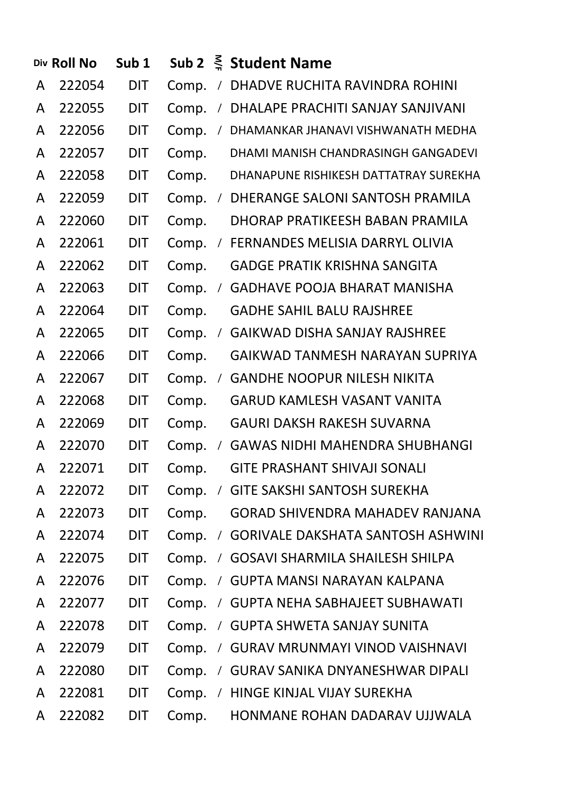|   | Div Roll No | Sub <sub>1</sub> |       |            | Sub 2 $\leq$ Student Name                |
|---|-------------|------------------|-------|------------|------------------------------------------|
| A | 222054      | <b>DIT</b>       | Comp. | $\sqrt{2}$ | DHADVE RUCHITA RAVINDRA ROHINI           |
| A | 222055      | <b>DIT</b>       | Comp. | $\sqrt{2}$ | DHALAPE PRACHITI SANJAY SANJIVANI        |
| A | 222056      | <b>DIT</b>       | Comp. | $\sqrt{2}$ | DHAMANKAR JHANAVI VISHWANATH MEDHA       |
| A | 222057      | <b>DIT</b>       | Comp. |            | DHAMI MANISH CHANDRASINGH GANGADEVI      |
| A | 222058      | <b>DIT</b>       | Comp. |            | DHANAPUNE RISHIKESH DATTATRAY SUREKHA    |
| A | 222059      | <b>DIT</b>       | Comp. | $\sqrt{2}$ | DHERANGE SALONI SANTOSH PRAMILA          |
| A | 222060      | <b>DIT</b>       | Comp. |            | DHORAP PRATIKEESH BABAN PRAMILA          |
| A | 222061      | <b>DIT</b>       | Comp. | $\sqrt{2}$ | FERNANDES MELISIA DARRYL OLIVIA          |
| A | 222062      | <b>DIT</b>       | Comp. |            | <b>GADGE PRATIK KRISHNA SANGITA</b>      |
| A | 222063      | <b>DIT</b>       | Comp. | $\sqrt{2}$ | <b>GADHAVE POOJA BHARAT MANISHA</b>      |
| A | 222064      | <b>DIT</b>       | Comp. |            | <b>GADHE SAHIL BALU RAJSHREE</b>         |
| A | 222065      | <b>DIT</b>       | Comp. | $\sqrt{2}$ | <b>GAIKWAD DISHA SANJAY RAJSHREE</b>     |
| A | 222066      | <b>DIT</b>       | Comp. |            | GAIKWAD TANMESH NARAYAN SUPRIYA          |
| A | 222067      | <b>DIT</b>       | Comp. | $\sqrt{2}$ | <b>GANDHE NOOPUR NILESH NIKITA</b>       |
| A | 222068      | <b>DIT</b>       | Comp. |            | <b>GARUD KAMLESH VASANT VANITA</b>       |
| A | 222069      | <b>DIT</b>       | Comp. |            | <b>GAURI DAKSH RAKESH SUVARNA</b>        |
| A | 222070      | <b>DIT</b>       | Comp. | $\sqrt{2}$ | <b>GAWAS NIDHI MAHENDRA SHUBHANGI</b>    |
| A | 222071      | <b>DIT</b>       | Comp. |            | <b>GITE PRASHANT SHIVAJI SONALI</b>      |
| A | 222072      | <b>DIT</b>       | Comp. | $\sqrt{2}$ | <b>GITE SAKSHI SANTOSH SUREKHA</b>       |
| A | 222073      | <b>DIT</b>       | Comp. |            | <b>GORAD SHIVENDRA MAHADEV RANJANA</b>   |
| A | 222074      | <b>DIT</b>       | Comp. | $\sqrt{2}$ | <b>GORIVALE DAKSHATA SANTOSH ASHWINI</b> |
| A | 222075      | <b>DIT</b>       | Comp. | $\sqrt{2}$ | <b>GOSAVI SHARMILA SHAILESH SHILPA</b>   |
| A | 222076      | <b>DIT</b>       | Comp. | $\sqrt{2}$ | GUPTA MANSI NARAYAN KALPANA              |
| A | 222077      | <b>DIT</b>       | Comp. |            | / GUPTA NEHA SABHAJEET SUBHAWATI         |
| A | 222078      | <b>DIT</b>       | Comp. | $\sqrt{2}$ | <b>GUPTA SHWETA SANJAY SUNITA</b>        |
| A | 222079      | <b>DIT</b>       | Comp. | $\sqrt{2}$ | <b>GURAV MRUNMAYI VINOD VAISHNAVI</b>    |
| A | 222080      | <b>DIT</b>       | Comp. | $\sqrt{2}$ | <b>GURAV SANIKA DNYANESHWAR DIPALI</b>   |
| A | 222081      | <b>DIT</b>       | Comp. | $\sqrt{2}$ | HINGE KINJAL VIJAY SUREKHA               |
| A | 222082      | DIT              | Comp. |            | HONMANE ROHAN DADARAV UJJWALA            |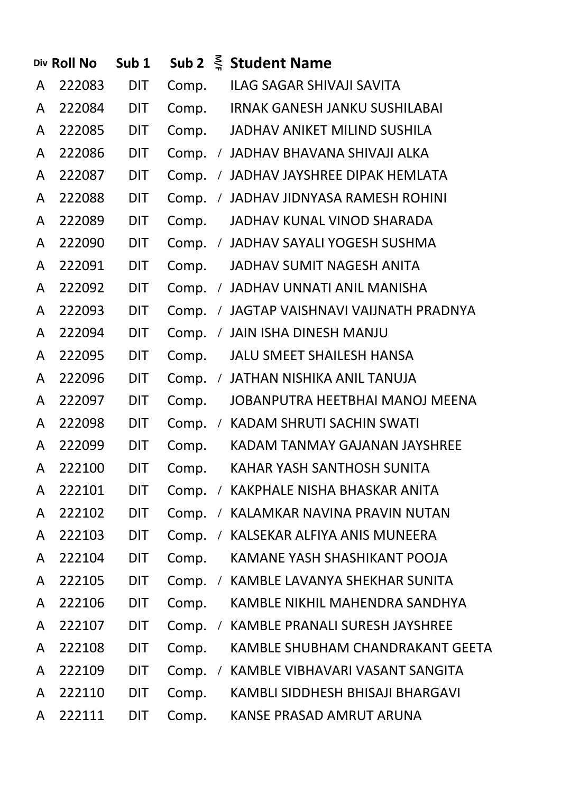|   | Div Roll No | Sub <sub>1</sub> |       |            | Sub 2 $\leq$ Student Name             |
|---|-------------|------------------|-------|------------|---------------------------------------|
| A | 222083      | <b>DIT</b>       | Comp. |            | ILAG SAGAR SHIVAJI SAVITA             |
| A | 222084      | <b>DIT</b>       | Comp. |            | <b>IRNAK GANESH JANKU SUSHILABAI</b>  |
| A | 222085      | <b>DIT</b>       | Comp. |            | JADHAV ANIKET MILIND SUSHILA          |
| A | 222086      | <b>DIT</b>       | Comp. |            | / JADHAV BHAVANA SHIVAJI ALKA         |
| A | 222087      | <b>DIT</b>       | Comp. |            | / JADHAV JAYSHREE DIPAK HEMLATA       |
| A | 222088      | <b>DIT</b>       | Comp. |            | / JADHAV JIDNYASA RAMESH ROHINI       |
| A | 222089      | <b>DIT</b>       | Comp. |            | JADHAV KUNAL VINOD SHARADA            |
| A | 222090      | <b>DIT</b>       |       |            | Comp. / JADHAV SAYALI YOGESH SUSHMA   |
| A | 222091      | <b>DIT</b>       | Comp. |            | JADHAV SUMIT NAGESH ANITA             |
| A | 222092      | <b>DIT</b>       | Comp. |            | / JADHAV UNNATI ANIL MANISHA          |
| A | 222093      | <b>DIT</b>       | Comp. |            | / JAGTAP VAISHNAVI VAIJNATH PRADNYA   |
| A | 222094      | <b>DIT</b>       | Comp. |            | / JAIN ISHA DINESH MANJU              |
| A | 222095      | <b>DIT</b>       | Comp. |            | <b>JALU SMEET SHAILESH HANSA</b>      |
| A | 222096      | <b>DIT</b>       |       |            | Comp. / JATHAN NISHIKA ANIL TANUJA    |
| A | 222097      | <b>DIT</b>       | Comp. |            | JOBANPUTRA HEETBHAI MANOJ MEENA       |
| A | 222098      | <b>DIT</b>       | Comp. |            | / KADAM SHRUTI SACHIN SWATI           |
| A | 222099      | <b>DIT</b>       | Comp. |            | KADAM TANMAY GAJANAN JAYSHREE         |
| A | 222100      | <b>DIT</b>       | Comp. |            | KAHAR YASH SANTHOSH SUNITA            |
| A | 222101      | <b>DIT</b>       | Comp. |            | / KAKPHALE NISHA BHASKAR ANITA        |
| A | 222102      | DIT              | Comp. | $\sqrt{2}$ | KALAMKAR NAVINA PRAVIN NUTAN          |
| A | 222103      | <b>DIT</b>       | Comp. | $\sqrt{2}$ | KALSEKAR ALFIYA ANIS MUNEERA          |
| A | 222104      | DIT              | Comp. |            | KAMANE YASH SHASHIKANT POOJA          |
| A | 222105      | DIT              | Comp. | $\sqrt{2}$ | KAMBLE LAVANYA SHEKHAR SUNITA         |
| A | 222106      | DIT              | Comp. |            | KAMBLE NIKHIL MAHENDRA SANDHYA        |
| A | 222107      | DIT              | Comp. | $\sqrt{2}$ | <b>KAMBLE PRANALI SURESH JAYSHREE</b> |
| A | 222108      | DIT              | Comp. |            | KAMBLE SHUBHAM CHANDRAKANT GEETA      |
| A | 222109      | <b>DIT</b>       | Comp. | $\prime$   | KAMBLE VIBHAVARI VASANT SANGITA       |
| A | 222110      | DIT              | Comp. |            | KAMBLI SIDDHESH BHISAJI BHARGAVI      |
| A | 222111      | DIT              | Comp. |            | KANSE PRASAD AMRUT ARUNA              |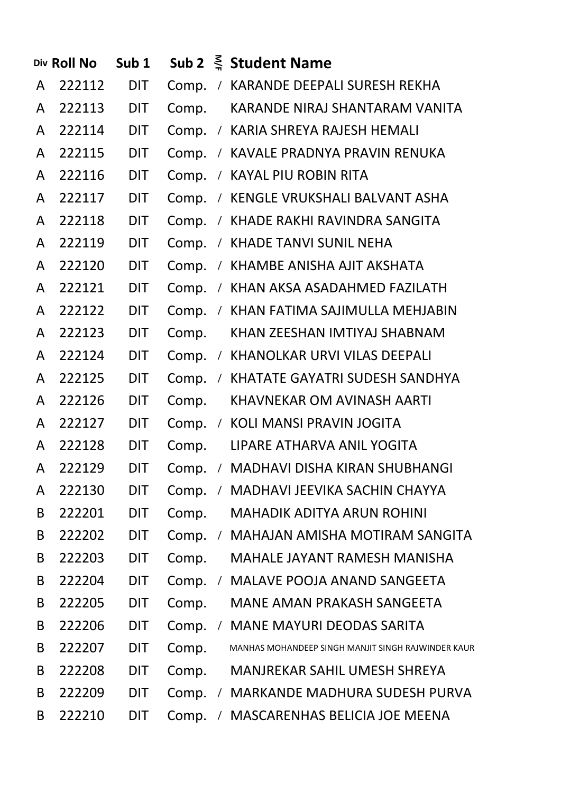|              | Div Roll No | Sub <sub>1</sub> |       |            | Sub 2 $\leq$ Student Name                          |
|--------------|-------------|------------------|-------|------------|----------------------------------------------------|
| A            | 222112      | DIT              |       |            | Comp. / KARANDE DEEPALI SURESH REKHA               |
| A            | 222113      | DIT              | Comp. |            | KARANDE NIRAJ SHANTARAM VANITA                     |
| $\mathsf{A}$ | 222114      | <b>DIT</b>       |       |            | Comp. / KARIA SHREYA RAJESH HEMALI                 |
| $\mathsf{A}$ | 222115      | <b>DIT</b>       |       |            | Comp. / KAVALE PRADNYA PRAVIN RENUKA               |
| A            | 222116      | <b>DIT</b>       |       |            | Comp. / KAYAL PIU ROBIN RITA                       |
| A            | 222117      | <b>DIT</b>       |       |            | Comp. / KENGLE VRUKSHALI BALVANT ASHA              |
| $\mathsf{A}$ | 222118      | <b>DIT</b>       |       |            | Comp. / KHADE RAKHI RAVINDRA SANGITA               |
| A            | 222119      | <b>DIT</b>       |       |            | Comp. / KHADE TANVI SUNIL NEHA                     |
| A            | 222120      | <b>DIT</b>       |       |            | Comp. / KHAMBE ANISHA AJIT AKSHATA                 |
| A            | 222121      | <b>DIT</b>       |       |            | Comp. / KHAN AKSA ASADAHMED FAZILATH               |
| $\mathsf{A}$ | 222122      | <b>DIT</b>       |       |            | Comp. / KHAN FATIMA SAJIMULLA MEHJABIN             |
| A            | 222123      | <b>DIT</b>       | Comp. |            | KHAN ZEESHAN IMTIYAJ SHABNAM                       |
| A            | 222124      | <b>DIT</b>       |       |            | Comp. / KHANOLKAR URVI VILAS DEEPALI               |
| A            | 222125      | <b>DIT</b>       | Comp. |            | / KHATATE GAYATRI SUDESH SANDHYA                   |
| A            | 222126      | <b>DIT</b>       | Comp. |            | <b>KHAVNEKAR OM AVINASH AARTI</b>                  |
| A            | 222127      | <b>DIT</b>       |       |            | Comp. / KOLI MANSI PRAVIN JOGITA                   |
| A            | 222128      | <b>DIT</b>       | Comp. |            | LIPARE ATHARVA ANIL YOGITA                         |
| A            | 222129      | <b>DIT</b>       | Comp. |            | / MADHAVI DISHA KIRAN SHUBHANGI                    |
| A            | 222130      | DIT              | Comp. | $\prime$   | MADHAVI JEEVIKA SACHIN CHAYYA                      |
| B            | 222201      | DIT              | Comp. |            | <b>MAHADIK ADITYA ARUN ROHINI</b>                  |
| B            | 222202      | DIT              | Comp. | $\prime$   | MAHAJAN AMISHA MOTIRAM SANGITA                     |
| B            | 222203      | DIT              | Comp. |            | MAHALE JAYANT RAMESH MANISHA                       |
| B            | 222204      | DIT              | Comp. | $\prime$   | <b>MALAVE POOJA ANAND SANGEETA</b>                 |
| B            | 222205      | DIT              | Comp. |            | MANE AMAN PRAKASH SANGEETA                         |
| B            | 222206      | DIT              | Comp. | $\prime$   | <b>MANE MAYURI DEODAS SARITA</b>                   |
| B            | 222207      | DIT              | Comp. |            | MANHAS MOHANDEEP SINGH MANJIT SINGH RAJWINDER KAUR |
| B            | 222208      | DIT              | Comp. |            | MANJREKAR SAHIL UMESH SHREYA                       |
| B            | 222209      | DIT              | Comp. | $\sqrt{2}$ | <b>MARKANDE MADHURA SUDESH PURVA</b>               |
| B            | 222210      | DIT              | Comp. | $\prime$   | <b>MASCARENHAS BELICIA JOE MEENA</b>               |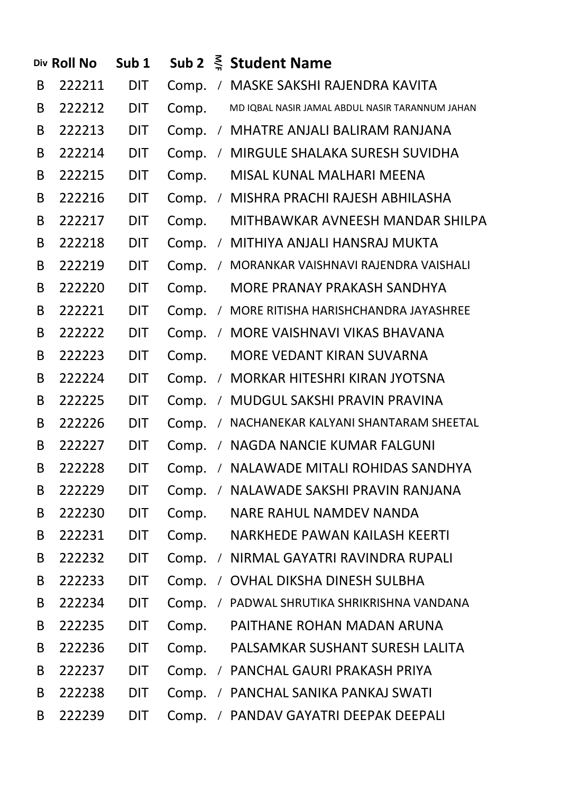|   | Div Roll No | Sub <sub>1</sub> |       |            | Sub 2 $\leq$ Student Name                       |
|---|-------------|------------------|-------|------------|-------------------------------------------------|
| B | 222211      | <b>DIT</b>       | Comp. |            | / MASKE SAKSHI RAJENDRA KAVITA                  |
| B | 222212      | <b>DIT</b>       | Comp. |            | MD IQBAL NASIR JAMAL ABDUL NASIR TARANNUM JAHAN |
| B | 222213      | <b>DIT</b>       | Comp. |            | / MHATRE ANJALI BALIRAM RANJANA                 |
| B | 222214      | <b>DIT</b>       | Comp. |            | / MIRGULE SHALAKA SURESH SUVIDHA                |
| B | 222215      | <b>DIT</b>       | Comp. |            | MISAL KUNAL MALHARI MEENA                       |
| B | 222216      | <b>DIT</b>       | Comp. |            | / MISHRA PRACHI RAJESH ABHILASHA                |
| B | 222217      | <b>DIT</b>       | Comp. |            | MITHBAWKAR AVNEESH MANDAR SHILPA                |
| B | 222218      | <b>DIT</b>       | Comp. |            | / MITHIYA ANJALI HANSRAJ MUKTA                  |
| B | 222219      | <b>DIT</b>       | Comp. |            | / MORANKAR VAISHNAVI RAJENDRA VAISHALI          |
| B | 222220      | <b>DIT</b>       | Comp. |            | MORE PRANAY PRAKASH SANDHYA                     |
| B | 222221      | <b>DIT</b>       | Comp. |            | / MORE RITISHA HARISHCHANDRA JAYASHREE          |
| B | 222222      | <b>DIT</b>       | Comp. |            | / MORE VAISHNAVI VIKAS BHAVANA                  |
| B | 222223      | <b>DIT</b>       | Comp. |            | MORE VEDANT KIRAN SUVARNA                       |
| B | 222224      | <b>DIT</b>       | Comp. |            | / MORKAR HITESHRI KIRAN JYOTSNA                 |
| B | 222225      | <b>DIT</b>       | Comp. |            | / MUDGUL SAKSHI PRAVIN PRAVINA                  |
| B | 222226      | <b>DIT</b>       | Comp. |            | / NACHANEKAR KALYANI SHANTARAM SHEETAL          |
| B | 222227      | <b>DIT</b>       | Comp. |            | / NAGDA NANCIE KUMAR FALGUNI                    |
| B | 222228      | <b>DIT</b>       | Comp. |            | / NALAWADE MITALI ROHIDAS SANDHYA               |
| B | 222229      | DIT              | Comp. | $\sqrt{2}$ | NALAWADE SAKSHI PRAVIN RANJANA                  |
| B | 222230      | <b>DIT</b>       | Comp. |            | <b>NARE RAHUL NAMDEV NANDA</b>                  |
| B | 222231      | DIT              | Comp. |            | NARKHEDE PAWAN KAILASH KEERTI                   |
| B | 222232      | DIT              | Comp. | $\prime$   | NIRMAL GAYATRI RAVINDRA RUPALI                  |
| B | 222233      | <b>DIT</b>       | Comp. | $\sqrt{2}$ | <b>OVHAL DIKSHA DINESH SULBHA</b>               |
| B | 222234      | <b>DIT</b>       | Comp. |            | PADWAL SHRUTIKA SHRIKRISHNA VANDANA             |
| B | 222235      | <b>DIT</b>       | Comp. |            | PAITHANE ROHAN MADAN ARUNA                      |
| B | 222236      | DIT              | Comp. |            | PALSAMKAR SUSHANT SURESH LALITA                 |
| B | 222237      | DIT              | Comp. | $\sqrt{2}$ | PANCHAL GAURI PRAKASH PRIYA                     |
| B | 222238      | <b>DIT</b>       | Comp. | $\sqrt{2}$ | PANCHAL SANIKA PANKAJ SWATI                     |
| B | 222239      | <b>DIT</b>       | Comp. | $\sqrt{2}$ | PANDAV GAYATRI DEEPAK DEEPALI                   |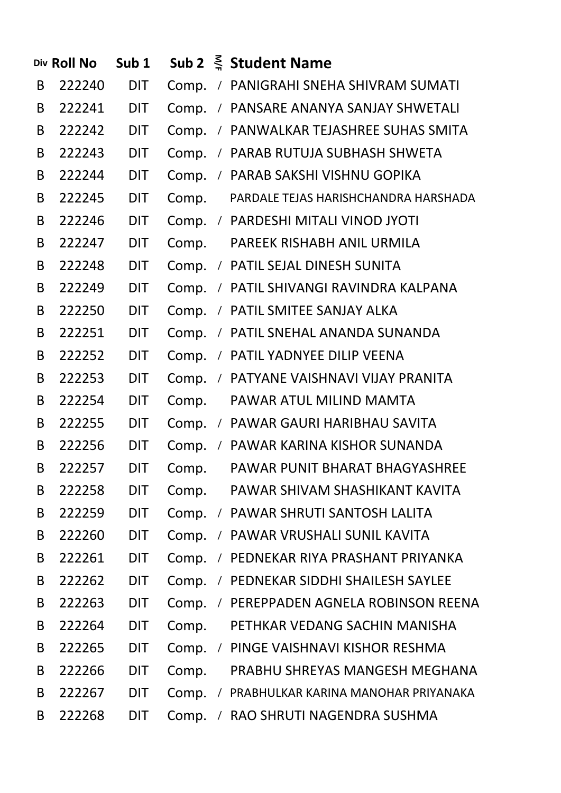|   | Div Roll No | Sub <sub>1</sub> |       |            | Sub 2 $\leq$ Student Name              |
|---|-------------|------------------|-------|------------|----------------------------------------|
| B | 222240      | <b>DIT</b>       |       |            | Comp. / PANIGRAHI SNEHA SHIVRAM SUMATI |
| B | 222241      | <b>DIT</b>       |       |            | Comp. / PANSARE ANANYA SANJAY SHWETALI |
| B | 222242      | <b>DIT</b>       | Comp. |            | / PANWALKAR TEJASHREE SUHAS SMITA      |
| B | 222243      | <b>DIT</b>       | Comp. |            | / PARAB RUTUJA SUBHASH SHWETA          |
| B | 222244      | <b>DIT</b>       | Comp. |            | / PARAB SAKSHI VISHNU GOPIKA           |
| B | 222245      | <b>DIT</b>       | Comp. |            | PARDALE TEJAS HARISHCHANDRA HARSHADA   |
| B | 222246      | <b>DIT</b>       |       |            | Comp. / PARDESHI MITALI VINOD JYOTI    |
| B | 222247      | <b>DIT</b>       | Comp. |            | PAREEK RISHABH ANIL URMILA             |
| B | 222248      | <b>DIT</b>       | Comp. |            | / PATIL SEJAL DINESH SUNITA            |
| B | 222249      | <b>DIT</b>       | Comp. |            | / PATIL SHIVANGI RAVINDRA KALPANA      |
| B | 222250      | <b>DIT</b>       | Comp. |            | / PATIL SMITEE SANJAY ALKA             |
| B | 222251      | <b>DIT</b>       | Comp. |            | / PATIL SNEHAL ANANDA SUNANDA          |
| B | 222252      | <b>DIT</b>       | Comp. |            | / PATIL YADNYEE DILIP VEENA            |
| B | 222253      | <b>DIT</b>       | Comp. |            | / PATYANE VAISHNAVI VIJAY PRANITA      |
| B | 222254      | <b>DIT</b>       | Comp. |            | PAWAR ATUL MILIND MAMTA                |
| B | 222255      | <b>DIT</b>       | Comp. |            | / PAWAR GAURI HARIBHAU SAVITA          |
| B | 222256      | <b>DIT</b>       | Comp. |            | / PAWAR KARINA KISHOR SUNANDA          |
| B | 222257      | <b>DIT</b>       | Comp. |            | PAWAR PUNIT BHARAT BHAGYASHREE         |
| B | 222258      | <b>DIT</b>       | Comp. |            | PAWAR SHIVAM SHASHIKANT KAVITA         |
| B | 222259      | <b>DIT</b>       | Comp. | $\sqrt{2}$ | PAWAR SHRUTI SANTOSH LALITA            |
| B | 222260      | DIT              | Comp. | $\sqrt{2}$ | PAWAR VRUSHALI SUNIL KAVITA            |
| B | 222261      | <b>DIT</b>       | Comp. | $\sqrt{2}$ | PEDNEKAR RIYA PRASHANT PRIYANKA        |
| B | 222262      | <b>DIT</b>       | Comp. | $\sqrt{2}$ | PEDNEKAR SIDDHI SHAILESH SAYLEE        |
| B | 222263      | <b>DIT</b>       | Comp. | $\prime$   | PEREPPADEN AGNELA ROBINSON REENA       |
| B | 222264      | <b>DIT</b>       | Comp. |            | PETHKAR VEDANG SACHIN MANISHA          |
| B | 222265      | <b>DIT</b>       | Comp. | $\prime$   | PINGE VAISHNAVI KISHOR RESHMA          |
| B | 222266      | <b>DIT</b>       | Comp. |            | PRABHU SHREYAS MANGESH MEGHANA         |
| B | 222267      | DIT              | Comp. | $\sqrt{2}$ | PRABHULKAR KARINA MANOHAR PRIYANAKA    |
| B | 222268      | <b>DIT</b>       | Comp. | $\prime$   | RAO SHRUTI NAGENDRA SUSHMA             |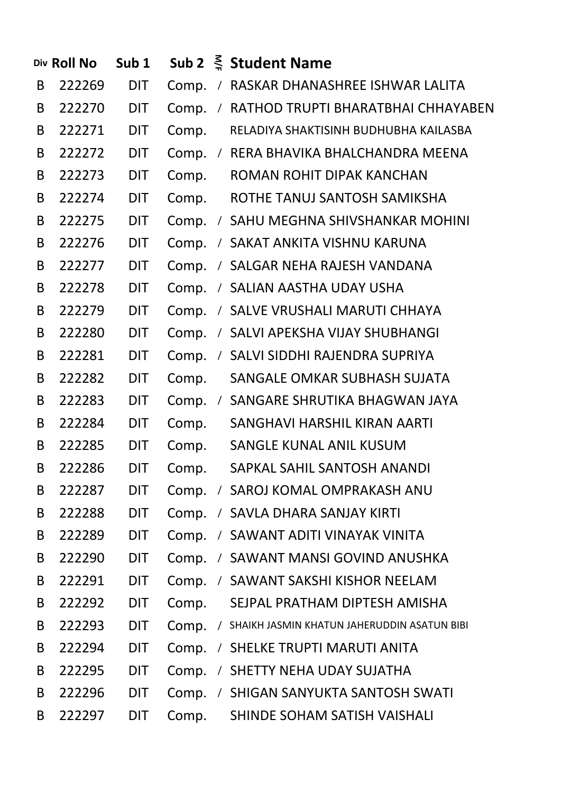|   | Div Roll No | Sub <sub>1</sub> |       |            | Sub 2 $\leq$ Student Name                     |
|---|-------------|------------------|-------|------------|-----------------------------------------------|
| B | 222269      | <b>DIT</b>       | Comp. |            | / RASKAR DHANASHREE ISHWAR LALITA             |
| B | 222270      | <b>DIT</b>       | Comp. | $\sqrt{2}$ | RATHOD TRUPTI BHARATBHAI CHHAYABEN            |
| B | 222271      | <b>DIT</b>       | Comp. |            | RELADIYA SHAKTISINH BUDHUBHA KAILASBA         |
| B | 222272      | <b>DIT</b>       | Comp. |            | / RERA BHAVIKA BHALCHANDRA MEENA              |
| B | 222273      | <b>DIT</b>       | Comp. |            | ROMAN ROHIT DIPAK KANCHAN                     |
| B | 222274      | <b>DIT</b>       | Comp. |            | ROTHE TANUJ SANTOSH SAMIKSHA                  |
| B | 222275      | <b>DIT</b>       | Comp. |            | / SAHU MEGHNA SHIVSHANKAR MOHINI              |
| B | 222276      | <b>DIT</b>       | Comp. |            | / SAKAT ANKITA VISHNU KARUNA                  |
| B | 222277      | <b>DIT</b>       | Comp. |            | / SALGAR NEHA RAJESH VANDANA                  |
| B | 222278      | <b>DIT</b>       | Comp. |            | / SALIAN AASTHA UDAY USHA                     |
| B | 222279      | <b>DIT</b>       | Comp. |            | / SALVE VRUSHALI MARUTI CHHAYA                |
| B | 222280      | <b>DIT</b>       | Comp. |            | / SALVI APEKSHA VIJAY SHUBHANGI               |
| B | 222281      | <b>DIT</b>       | Comp. |            | / SALVI SIDDHI RAJENDRA SUPRIYA               |
| B | 222282      | <b>DIT</b>       | Comp. |            | SANGALE OMKAR SUBHASH SUJATA                  |
| B | 222283      | <b>DIT</b>       | Comp. |            | / SANGARE SHRUTIKA BHAGWAN JAYA               |
| B | 222284      | <b>DIT</b>       | Comp. |            | SANGHAVI HARSHIL KIRAN AARTI                  |
| B | 222285      | <b>DIT</b>       | Comp. |            | SANGLE KUNAL ANIL KUSUM                       |
| B | 222286      | <b>DIT</b>       | Comp. |            | SAPKAL SAHIL SANTOSH ANANDI                   |
| B | 222287      | <b>DIT</b>       | Comp. |            | / SAROJ KOMAL OMPRAKASH ANU                   |
| B | 222288      | <b>DIT</b>       | Comp. |            | / SAVLA DHARA SANJAY KIRTI                    |
| B | 222289      | <b>DIT</b>       | Comp. |            | / SAWANT ADITI VINAYAK VINITA                 |
| B | 222290      | <b>DIT</b>       | Comp. |            | / SAWANT MANSI GOVIND ANUSHKA                 |
| B | 222291      | <b>DIT</b>       | Comp. |            | / SAWANT SAKSHI KISHOR NEELAM                 |
| B | 222292      | <b>DIT</b>       | Comp. |            | SEJPAL PRATHAM DIPTESH AMISHA                 |
| B | 222293      | <b>DIT</b>       | Comp. |            | / SHAIKH JASMIN KHATUN JAHERUDDIN ASATUN BIBI |
| B | 222294      | <b>DIT</b>       | Comp. |            | / SHELKE TRUPTI MARUTI ANITA                  |
| B | 222295      | <b>DIT</b>       | Comp. |            | / SHETTY NEHA UDAY SUJATHA                    |
| B | 222296      | <b>DIT</b>       | Comp. | $\sqrt{2}$ | SHIGAN SANYUKTA SANTOSH SWATI                 |
| B | 222297      | <b>DIT</b>       | Comp. |            | SHINDE SOHAM SATISH VAISHALI                  |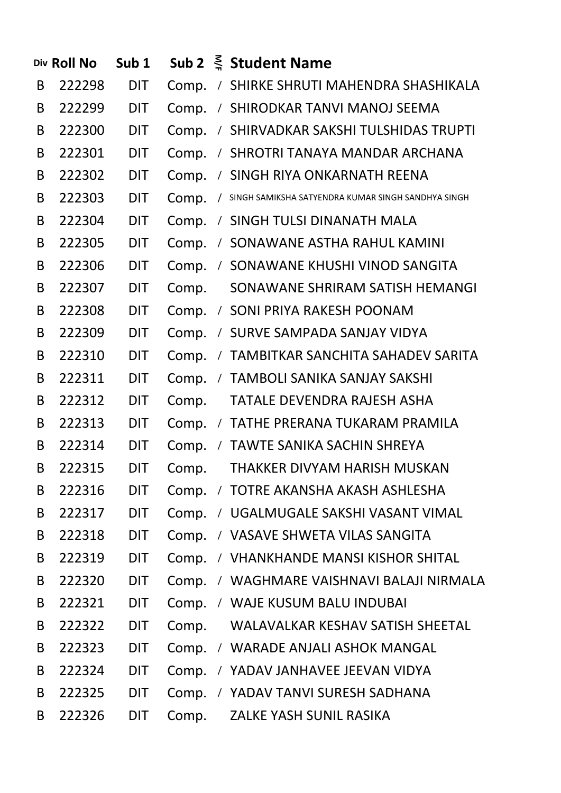|   | Div Roll No | Sub <sub>1</sub> |       |            | Sub 2 $\leq$ Student Name                          |
|---|-------------|------------------|-------|------------|----------------------------------------------------|
| B | 222298      | <b>DIT</b>       | Comp. |            | / SHIRKE SHRUTI MAHENDRA SHASHIKALA                |
| B | 222299      | <b>DIT</b>       | Comp. |            | / SHIRODKAR TANVI MANOJ SEEMA                      |
| B | 222300      | <b>DIT</b>       | Comp. |            | / SHIRVADKAR SAKSHI TULSHIDAS TRUPTI               |
| B | 222301      | <b>DIT</b>       | Comp. |            | / SHROTRI TANAYA MANDAR ARCHANA                    |
| B | 222302      | <b>DIT</b>       | Comp. |            | / SINGH RIYA ONKARNATH REENA                       |
| B | 222303      | <b>DIT</b>       | Comp. | $\sqrt{2}$ | SINGH SAMIKSHA SATYENDRA KUMAR SINGH SANDHYA SINGH |
| B | 222304      | <b>DIT</b>       | Comp. |            | / SINGH TULSI DINANATH MALA                        |
| B | 222305      | <b>DIT</b>       | Comp. |            | / SONAWANE ASTHA RAHUL KAMINI                      |
| B | 222306      | <b>DIT</b>       | Comp. |            | / SONAWANE KHUSHI VINOD SANGITA                    |
| B | 222307      | <b>DIT</b>       | Comp. |            | SONAWANE SHRIRAM SATISH HEMANGI                    |
| B | 222308      | <b>DIT</b>       | Comp. |            | / SONI PRIYA RAKESH POONAM                         |
| B | 222309      | <b>DIT</b>       | Comp. |            | / SURVE SAMPADA SANJAY VIDYA                       |
| B | 222310      | <b>DIT</b>       | Comp. |            | / TAMBITKAR SANCHITA SAHADEV SARITA                |
| B | 222311      | <b>DIT</b>       | Comp. |            | / TAMBOLI SANIKA SANJAY SAKSHI                     |
| B | 222312      | <b>DIT</b>       | Comp. |            | TATALE DEVENDRA RAJESH ASHA                        |
| B | 222313      | <b>DIT</b>       | Comp. |            | / TATHE PRERANA TUKARAM PRAMILA                    |
| B | 222314      | <b>DIT</b>       | Comp. |            | / TAWTE SANIKA SACHIN SHREYA                       |
| B | 222315      | <b>DIT</b>       | Comp. |            | THAKKER DIVYAM HARISH MUSKAN                       |
| B | 222316      | <b>DIT</b>       | Comp. |            | / TOTRE AKANSHA AKASH ASHLESHA                     |
| B | 222317      | <b>DIT</b>       | Comp. |            | / UGALMUGALE SAKSHI VASANT VIMAL                   |
| B | 222318      | <b>DIT</b>       | Comp. |            | / VASAVE SHWETA VILAS SANGITA                      |
| B | 222319      | <b>DIT</b>       | Comp. |            | / VHANKHANDE MANSI KISHOR SHITAL                   |
| B | 222320      | <b>DIT</b>       | Comp. |            | / WAGHMARE VAISHNAVI BALAJI NIRMALA                |
| B | 222321      | <b>DIT</b>       | Comp. | $\sqrt{2}$ | WAJE KUSUM BALU INDUBAI                            |
| B | 222322      | <b>DIT</b>       | Comp. |            | WALAVALKAR KESHAV SATISH SHEETAL                   |
| B | 222323      | <b>DIT</b>       | Comp. | $\sqrt{2}$ | <b>WARADE ANJALI ASHOK MANGAL</b>                  |
| B | 222324      | <b>DIT</b>       | Comp. | $\sqrt{2}$ | YADAV JANHAVEE JEEVAN VIDYA                        |
| B | 222325      | <b>DIT</b>       | Comp. | $\sqrt{2}$ | YADAV TANVI SURESH SADHANA                         |
| B | 222326      | <b>DIT</b>       | Comp. |            | ZALKE YASH SUNIL RASIKA                            |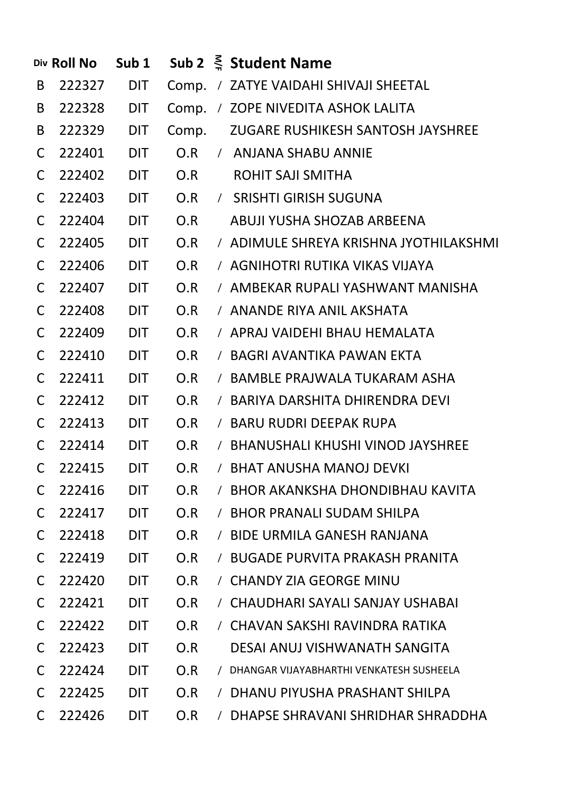|              | Div Roll No | Sub <sub>1</sub> |       |            | Sub 2 $\leq$ Student Name                  |
|--------------|-------------|------------------|-------|------------|--------------------------------------------|
| B            | 222327      | <b>DIT</b>       |       |            | Comp. / ZATYE VAIDAHI SHIVAJI SHEETAL      |
| B            | 222328      | <b>DIT</b>       | Comp. |            | / ZOPE NIVEDITA ASHOK LALITA               |
| B            | 222329      | <b>DIT</b>       | Comp. |            | ZUGARE RUSHIKESH SANTOSH JAYSHREE          |
| C            | 222401      | <b>DIT</b>       | O.R   |            | / ANJANA SHABU ANNIE                       |
| C            | 222402      | <b>DIT</b>       | O.R   |            | <b>ROHIT SAJI SMITHA</b>                   |
| C            | 222403      | <b>DIT</b>       | O.R   |            | / SRISHTI GIRISH SUGUNA                    |
| C            | 222404      | <b>DIT</b>       | O.R   |            | ABUJI YUSHA SHOZAB ARBEENA                 |
| C            | 222405      | <b>DIT</b>       | O.R   |            | / ADIMULE SHREYA KRISHNA JYOTHILAKSHMI     |
| C            | 222406      | <b>DIT</b>       | O.R   |            | / AGNIHOTRI RUTIKA VIKAS VIJAYA            |
| C            | 222407      | <b>DIT</b>       | O.R   |            | / AMBEKAR RUPALI YASHWANT MANISHA          |
| C            | 222408      | <b>DIT</b>       | O.R   |            | / ANANDE RIYA ANIL AKSHATA                 |
| C            | 222409      | <b>DIT</b>       | O.R   |            | / APRAJ VAIDEHI BHAU HEMALATA              |
| C            | 222410      | <b>DIT</b>       | O.R   |            | / BAGRI AVANTIKA PAWAN EKTA                |
| C            | 222411      | <b>DIT</b>       | O.R   |            | / BAMBLE PRAJWALA TUKARAM ASHA             |
| C            | 222412      | <b>DIT</b>       | O.R   |            | / BARIYA DARSHITA DHIRENDRA DEVI           |
| C            | 222413      | <b>DIT</b>       | O.R   |            | / BARU RUDRI DEEPAK RUPA                   |
| C            | 222414      | <b>DIT</b>       | O.R   |            | / BHANUSHALI KHUSHI VINOD JAYSHREE         |
| $\mathsf{C}$ | 222415      | <b>DIT</b>       | O.R   |            | / BHAT ANUSHA MANOJ DEVKI                  |
| C            | 222416      | <b>DIT</b>       | O.R   |            | / BHOR AKANKSHA DHONDIBHAU KAVITA          |
| C            | 222417      | <b>DIT</b>       | O.R   |            | / BHOR PRANALI SUDAM SHILPA                |
| C            | 222418      | <b>DIT</b>       | O.R   |            | / BIDE URMILA GANESH RANJANA               |
| C            | 222419      | <b>DIT</b>       | O.R   |            | / BUGADE PURVITA PRAKASH PRANITA           |
| C            | 222420      | <b>DIT</b>       | O.R   |            | / CHANDY ZIA GEORGE MINU                   |
| C            | 222421      | <b>DIT</b>       | O.R   |            | / CHAUDHARI SAYALI SANJAY USHABAI          |
| C            | 222422      | <b>DIT</b>       | O.R   |            | / CHAVAN SAKSHI RAVINDRA RATIKA            |
| C            | 222423      | <b>DIT</b>       | O.R   |            | DESAI ANUJ VISHWANATH SANGITA              |
| C            | 222424      | <b>DIT</b>       | O.R   |            | / DHANGAR VIJAYABHARTHI VENKATESH SUSHEELA |
| C            | 222425      | <b>DIT</b>       | O.R   |            | / DHANU PIYUSHA PRASHANT SHILPA            |
| $\mathsf{C}$ | 222426      | <b>DIT</b>       | O.R   | $\sqrt{2}$ | DHAPSE SHRAVANI SHRIDHAR SHRADDHA          |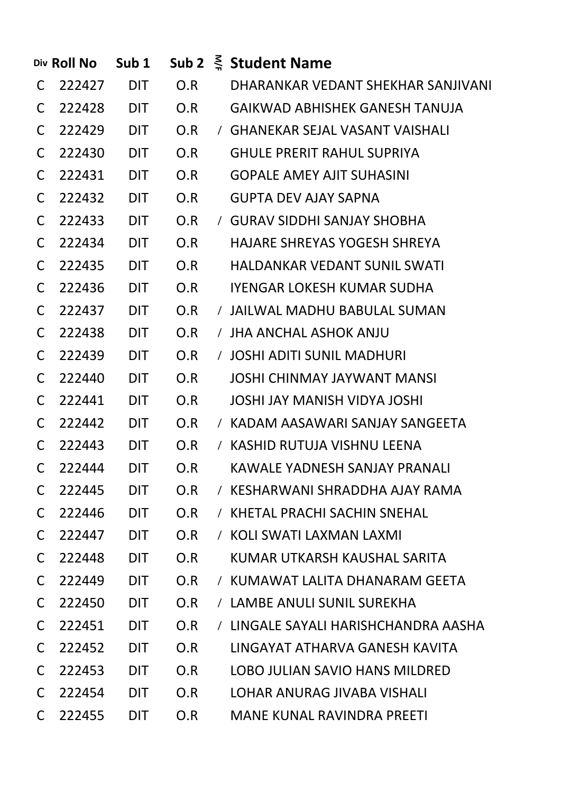|              | Div Roll No | Sub <sub>1</sub> |     |          | Sub 2 $\leq$ Student Name             |
|--------------|-------------|------------------|-----|----------|---------------------------------------|
| C            | 222427      | DIT              | O.R |          | DHARANKAR VEDANT SHEKHAR SANJIVANI    |
| C            | 222428 DIT  |                  | O.R |          | <b>GAIKWAD ABHISHEK GANESH TANUJA</b> |
| C            | 222429 DIT  |                  | O.R |          | / GHANEKAR SEJAL VASANT VAISHALI      |
| C            | 222430 DIT  |                  | O.R |          | <b>GHULE PRERIT RAHUL SUPRIYA</b>     |
| C            | 222431 DIT  |                  | O.R |          | <b>GOPALE AMEY AJIT SUHASINI</b>      |
| C            | 222432 DIT  |                  | O.R |          | GUPTA DEV AJAY SAPNA                  |
| C            | 222433 DIT  |                  | O.R |          | / GURAV SIDDHI SANJAY SHOBHA          |
| C            | 222434      | <b>DIT</b>       | O.R |          | HAJARE SHREYAS YOGESH SHREYA          |
| C            | 222435      | <b>DIT</b>       | O.R |          | <b>HALDANKAR VEDANT SUNIL SWATI</b>   |
| C            | 222436      | <b>DIT</b>       | O.R |          | <b>IYENGAR LOKESH KUMAR SUDHA</b>     |
| C            | 222437      | <b>DIT</b>       | O.R |          | / JAILWAL MADHU BABULAL SUMAN         |
| C            | 222438      | DIT              | O.R |          | / JHA ANCHAL ASHOK ANJU               |
| C            | 222439      | DIT              | O.R |          | / JOSHI ADITI SUNIL MADHURI           |
| C            | 222440      | DIT              | O.R |          | <b>JOSHI CHINMAY JAYWANT MANSI</b>    |
| C            | 222441      | DIT              | O.R |          | <b>JOSHI JAY MANISH VIDYA JOSHI</b>   |
| C            | 222442      | DIT              | O.R |          | / KADAM AASAWARI SANJAY SANGEETA      |
| C            | 222443      | DIT              | O.R |          | / KASHID RUTUJA VISHNU LEENA          |
| $\mathsf{C}$ | 222444      | <b>DIT</b>       | O.R |          | <b>KAWALE YADNESH SANJAY PRANALI</b>  |
| C            | 222445      | <b>DIT</b>       | O.R |          | / KESHARWANI SHRADDHA AJAY RAMA       |
| C            | 222446      | <b>DIT</b>       | O.R | $\prime$ | KHETAL PRACHI SACHIN SNEHAL           |
| C            | 222447      | <b>DIT</b>       | O.R | $\prime$ | KOLI SWATI LAXMAN LAXMI               |
| C            | 222448      | <b>DIT</b>       | O.R |          | KUMAR UTKARSH KAUSHAL SARITA          |
| C            | 222449      | <b>DIT</b>       | O.R | $\prime$ | KUMAWAT LALITA DHANARAM GEETA         |
| C            | 222450      | <b>DIT</b>       | O.R |          | / LAMBE ANULI SUNIL SUREKHA           |
| C            | 222451      | <b>DIT</b>       | O.R | $\prime$ | LINGALE SAYALI HARISHCHANDRA AASHA    |
| C            | 222452      | <b>DIT</b>       | O.R |          | LINGAYAT ATHARVA GANESH KAVITA        |
| C            | 222453      | <b>DIT</b>       | O.R |          | LOBO JULIAN SAVIO HANS MILDRED        |
| C            | 222454      | <b>DIT</b>       | O.R |          | LOHAR ANURAG JIVABA VISHALI           |
| C            | 222455      | <b>DIT</b>       | O.R |          | <b>MANE KUNAL RAVINDRA PREETI</b>     |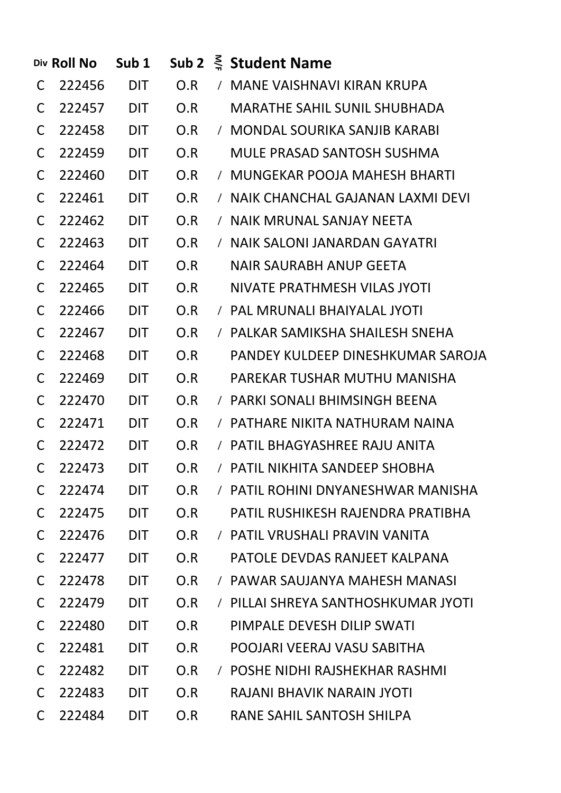|              | Div Roll No | Sub <sub>1</sub> |     | Sub 2 $\leq$ Student Name           |
|--------------|-------------|------------------|-----|-------------------------------------|
| C            | 222456      | DIT              |     | O.R / MANE VAISHNAVI KIRAN KRUPA    |
| C            | 222457 DIT  |                  | O.R | <b>MARATHE SAHIL SUNIL SHUBHADA</b> |
| C            | 222458 DIT  |                  | O.R | / MONDAL SOURIKA SANJIB KARABI      |
| C            | 222459 DIT  |                  | O.R | MULE PRASAD SANTOSH SUSHMA          |
| C            | 222460      | DIT              | O.R | / MUNGEKAR POOJA MAHESH BHARTI      |
| C            | 222461      | <b>DIT</b>       | O.R | / NAIK CHANCHAL GAJANAN LAXMI DEVI  |
| C            | 222462      | <b>DIT</b>       | O.R | / NAIK MRUNAL SANJAY NEETA          |
| C            | 222463 DIT  |                  | O.R | / NAIK SALONI JANARDAN GAYATRI      |
| C            | 222464      | <b>DIT</b>       | O.R | NAIR SAURABH ANUP GEETA             |
| C            | 222465 DIT  |                  | O.R | NIVATE PRATHMESH VILAS JYOTI        |
| C            | 222466      | DIT              | O.R | / PAL MRUNALI BHAIYALAL JYOTI       |
| C            | 222467      | DIT              | O.R | / PALKAR SAMIKSHA SHAILESH SNEHA    |
| C            | 222468      | DIT              | O.R | PANDEY KULDEEP DINESHKUMAR SAROJA   |
| C            | 222469      | DIT              | O.R | PAREKAR TUSHAR MUTHU MANISHA        |
| C            | 222470      | DIT              | O.R | / PARKI SONALI BHIMSINGH BEENA      |
| C            | 222471      | DIT              | O.R | / PATHARE NIKITA NATHURAM NAINA     |
| C.           | 222472      | DIT.             | O.R | / PATIL BHAGYASHREE RAJU ANITA      |
| $\mathsf{C}$ | 222473      | <b>DIT</b>       | O.R | / PATIL NIKHITA SANDEEP SHOBHA      |
| C            | 222474      | <b>DIT</b>       | O.R | / PATIL ROHINI DNYANESHWAR MANISHA  |
| C            | 222475      | <b>DIT</b>       | O.R | PATIL RUSHIKESH RAJENDRA PRATIBHA   |
| C            | 222476      | <b>DIT</b>       | O.R | / PATIL VRUSHALI PRAVIN VANITA      |
| C            | 222477      | <b>DIT</b>       | O.R | PATOLE DEVDAS RANJEET KALPANA       |
| C            | 222478      | <b>DIT</b>       | O.R | / PAWAR SAUJANYA MAHESH MANASI      |
| C            | 222479      | <b>DIT</b>       | O.R | / PILLAI SHREYA SANTHOSHKUMAR JYOTI |
| C            | 222480      | <b>DIT</b>       | O.R | PIMPALE DEVESH DILIP SWATI          |
| C            | 222481      | <b>DIT</b>       | O.R | POOJARI VEERAJ VASU SABITHA         |
| C            | 222482      | <b>DIT</b>       | O.R | / POSHE NIDHI RAJSHEKHAR RASHMI     |
| C            | 222483      | <b>DIT</b>       | O.R | RAJANI BHAVIK NARAIN JYOTI          |
| C            | 222484      | <b>DIT</b>       | O.R | RANE SAHIL SANTOSH SHILPA           |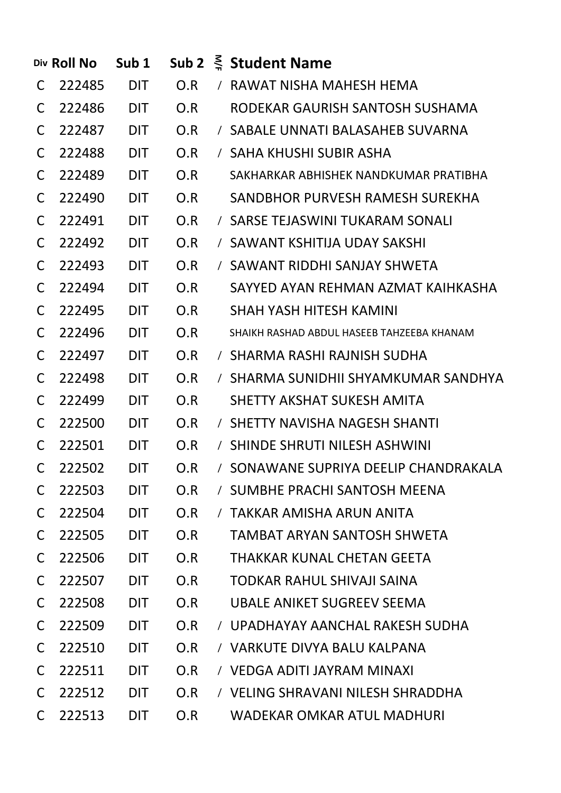|              | Div Roll No | Sub <sub>1</sub> |     |          | Sub 2 $\leq$ Student Name                  |
|--------------|-------------|------------------|-----|----------|--------------------------------------------|
| C            | 222485      | <b>DIT</b>       | O.R |          | / RAWAT NISHA MAHESH HEMA                  |
| C            | 222486      | <b>DIT</b>       | O.R |          | RODEKAR GAURISH SANTOSH SUSHAMA            |
| C            | 222487      | <b>DIT</b>       | O.R |          | / SABALE UNNATI BALASAHEB SUVARNA          |
| C            | 222488      | <b>DIT</b>       | O.R |          | / SAHA KHUSHI SUBIR ASHA                   |
| C            | 222489      | <b>DIT</b>       | O.R |          | SAKHARKAR ABHISHEK NANDKUMAR PRATIBHA      |
| C            | 222490      | <b>DIT</b>       | O.R |          | SANDBHOR PURVESH RAMESH SUREKHA            |
| C            | 222491      | <b>DIT</b>       | O.R |          | / SARSE TEJASWINI TUKARAM SONALI           |
| C            | 222492      | <b>DIT</b>       | O.R |          | / SAWANT KSHITIJA UDAY SAKSHI              |
| C            | 222493      | <b>DIT</b>       | O.R |          | / SAWANT RIDDHI SANJAY SHWETA              |
| C            | 222494      | <b>DIT</b>       | O.R |          | SAYYED AYAN REHMAN AZMAT KAIHKASHA         |
| C            | 222495      | <b>DIT</b>       | O.R |          | <b>SHAH YASH HITESH KAMINI</b>             |
| C            | 222496      | <b>DIT</b>       | O.R |          | SHAIKH RASHAD ABDUL HASEEB TAHZEEBA KHANAM |
| C            | 222497      | <b>DIT</b>       | O.R |          | / SHARMA RASHI RAJNISH SUDHA               |
| C            | 222498      | <b>DIT</b>       | O.R |          | / SHARMA SUNIDHII SHYAMKUMAR SANDHYA       |
| C            | 222499      | <b>DIT</b>       | O.R |          | SHETTY AKSHAT SUKESH AMITA                 |
| C            | 222500      | <b>DIT</b>       | O.R |          | / SHETTY NAVISHA NAGESH SHANTI             |
| C            | 222501      | <b>DIT</b>       | O.R |          | / SHINDE SHRUTI NILESH ASHWINI             |
| $\mathsf{C}$ | 222502      | <b>DIT</b>       | O.R |          | / SONAWANE SUPRIYA DEELIP CHANDRAKALA      |
| C            | 222503      | <b>DIT</b>       | O.R |          | / SUMBHE PRACHI SANTOSH MEENA              |
| C            | 222504      | <b>DIT</b>       | O.R | $\prime$ | TAKKAR AMISHA ARUN ANITA                   |
| C            | 222505      | <b>DIT</b>       | O.R |          | TAMBAT ARYAN SANTOSH SHWETA                |
| C            | 222506      | <b>DIT</b>       | O.R |          | THAKKAR KUNAL CHETAN GEETA                 |
| C            | 222507      | <b>DIT</b>       | O.R |          | TODKAR RAHUL SHIVAJI SAINA                 |
| C            | 222508      | <b>DIT</b>       | O.R |          | UBALE ANIKET SUGREEV SEEMA                 |
| C            | 222509      | <b>DIT</b>       | O.R |          | / UPADHAYAY AANCHAL RAKESH SUDHA           |
| C            | 222510      | <b>DIT</b>       | O.R |          | / VARKUTE DIVYA BALU KALPANA               |
| C            | 222511      | <b>DIT</b>       | O.R |          | / VEDGA ADITI JAYRAM MINAXI                |
| C            | 222512      | <b>DIT</b>       | O.R |          | / VELING SHRAVANI NILESH SHRADDHA          |
| C            | 222513      | <b>DIT</b>       | O.R |          | WADEKAR OMKAR ATUL MADHURI                 |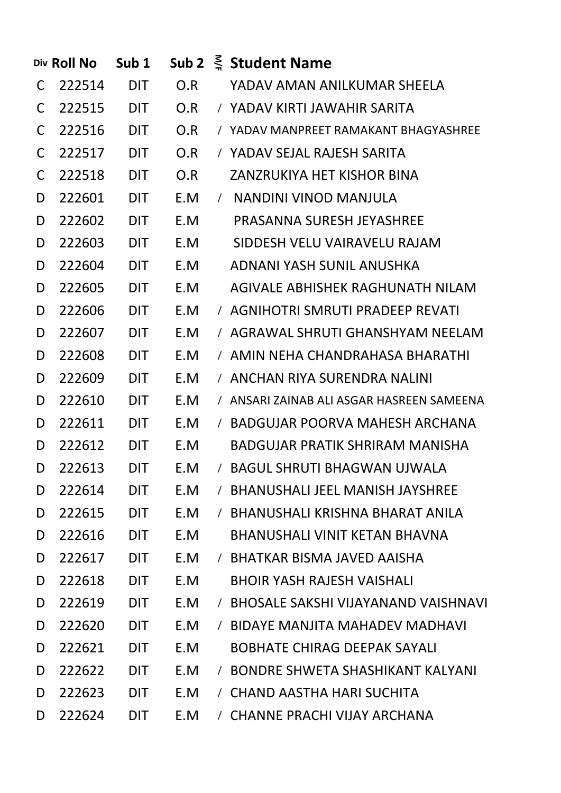|   | Div Roll No | Sub <sub>1</sub> |     |            | Sub 2 $\leq$ Student Name                 |
|---|-------------|------------------|-----|------------|-------------------------------------------|
| C | 222514      | DIT              | O.R |            | YADAV AMAN ANILKUMAR SHEELA               |
| C | 222515      | <b>DIT</b>       | O.R |            | / YADAV KIRTI JAWAHIR SARITA              |
| C | 222516      | DIT              | O.R |            | / YADAV MANPREET RAMAKANT BHAGYASHREE     |
| C | 222517      | DIT              | O.R |            | / YADAV SEJAL RAJESH SARITA               |
| C | 222518      | <b>DIT</b>       | O.R |            | <b>ZANZRUKIYA HET KISHOR BINA</b>         |
| D | 222601      | <b>DIT</b>       | E.M |            | / NANDINI VINOD MANJULA                   |
| D | 222602      | <b>DIT</b>       | E.M |            | PRASANNA SURESH JEYASHREE                 |
| D | 222603      | <b>DIT</b>       | E.M |            | SIDDESH VELU VAIRAVELU RAJAM              |
| D | 222604      | <b>DIT</b>       | E.M |            | ADNANI YASH SUNIL ANUSHKA                 |
| D | 222605      | <b>DIT</b>       | E.M |            | AGIVALE ABHISHEK RAGHUNATH NILAM          |
| D | 222606      | <b>DIT</b>       | E.M |            | / AGNIHOTRI SMRUTI PRADEEP REVATI         |
| D | 222607      | <b>DIT</b>       | E.M |            | / AGRAWAL SHRUTI GHANSHYAM NEELAM         |
| D | 222608      | <b>DIT</b>       | E.M |            | / AMIN NEHA CHANDRAHASA BHARATHI          |
| D | 222609      | <b>DIT</b>       | E.M |            | / ANCHAN RIYA SURENDRA NALINI             |
| D | 222610      | <b>DIT</b>       | E.M |            | / ANSARI ZAINAB ALI ASGAR HASREEN SAMEENA |
| D | 222611      | <b>DIT</b>       | E.M |            | / BADGUJAR POORVA MAHESH ARCHANA          |
| D | 222612      | <b>DIT</b>       | E.M |            | <b>BADGUJAR PRATIK SHRIRAM MANISHA</b>    |
| D | 222613      | <b>DIT</b>       | E.M |            | / BAGUL SHRUTI BHAGWAN UJWALA             |
| D | 222614      | <b>DIT</b>       | E.M |            | / BHANUSHALI JEEL MANISH JAYSHREE         |
| D | 222615      | <b>DIT</b>       | E.M | $\sqrt{2}$ | BHANUSHALI KRISHNA BHARAT ANILA           |
| D | 222616      | <b>DIT</b>       | E.M |            | <b>BHANUSHALI VINIT KETAN BHAVNA</b>      |
| D | 222617      | <b>DIT</b>       | E.M | $\sqrt{2}$ | BHATKAR BISMA JAVED AAISHA                |
| D | 222618      | <b>DIT</b>       | E.M |            | <b>BHOIR YASH RAJESH VAISHALI</b>         |
| D | 222619      | <b>DIT</b>       | E.M |            | / BHOSALE SAKSHI VIJAYANAND VAISHNAVI     |
| D | 222620      | <b>DIT</b>       | E.M | $\sqrt{2}$ | BIDAYE MANJITA MAHADEV MADHAVI            |
| D | 222621      | <b>DIT</b>       | E.M |            | <b>BOBHATE CHIRAG DEEPAK SAYALI</b>       |
| D | 222622      | <b>DIT</b>       | E.M |            | / BONDRE SHWETA SHASHIKANT KALYANI        |
| D | 222623      | <b>DIT</b>       | E.M | $\sqrt{2}$ | CHAND AASTHA HARI SUCHITA                 |
| D | 222624      | <b>DIT</b>       | E.M | $\sqrt{2}$ | CHANNE PRACHI VIJAY ARCHANA               |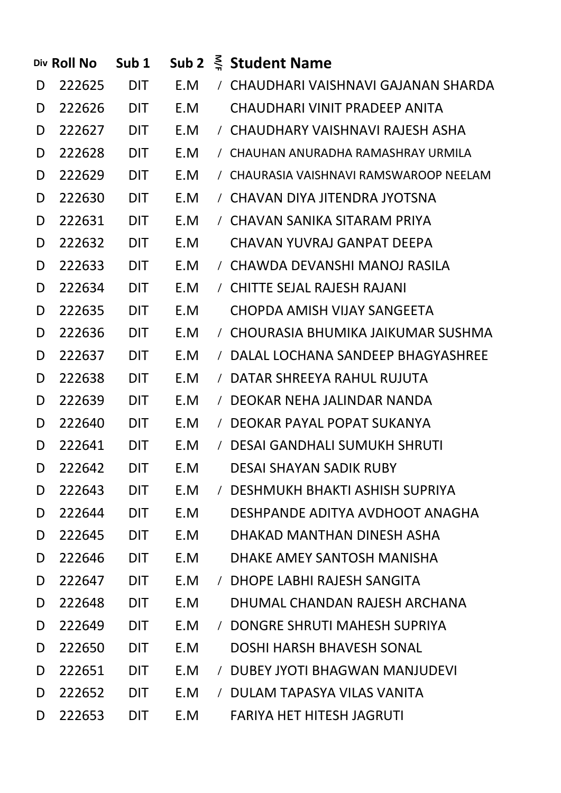|   | Div Roll No | Sub <sub>1</sub> | Sub 2 |            | $\frac{3}{2}$ Student Name              |
|---|-------------|------------------|-------|------------|-----------------------------------------|
| D | 222625      | <b>DIT</b>       | E.M   |            | / CHAUDHARI VAISHNAVI GAJANAN SHARDA    |
| D | 222626      | <b>DIT</b>       | E.M   |            | <b>CHAUDHARI VINIT PRADEEP ANITA</b>    |
| D | 222627      | <b>DIT</b>       | E.M   |            | / CHAUDHARY VAISHNAVI RAJESH ASHA       |
| D | 222628      | <b>DIT</b>       | E.M   |            | / CHAUHAN ANURADHA RAMASHRAY URMILA     |
| D | 222629      | <b>DIT</b>       | E.M   |            | / CHAURASIA VAISHNAVI RAMSWAROOP NEELAM |
| D | 222630      | <b>DIT</b>       | E.M   |            | / CHAVAN DIYA JITENDRA JYOTSNA          |
| D | 222631      | <b>DIT</b>       | E.M   |            | / CHAVAN SANIKA SITARAM PRIYA           |
| D | 222632      | <b>DIT</b>       | E.M   |            | CHAVAN YUVRAJ GANPAT DEEPA              |
| D | 222633      | <b>DIT</b>       | E.M   |            | / CHAWDA DEVANSHI MANOJ RASILA          |
| D | 222634      | <b>DIT</b>       | E.M   |            | / CHITTE SEJAL RAJESH RAJANI            |
| D | 222635      | DIT              | E.M   |            | CHOPDA AMISH VIJAY SANGEETA             |
| D | 222636      | <b>DIT</b>       | E.M   |            | / CHOURASIA BHUMIKA JAIKUMAR SUSHMA     |
| D | 222637      | <b>DIT</b>       | E.M   |            | / DALAL LOCHANA SANDEEP BHAGYASHREE     |
| D | 222638      | <b>DIT</b>       | E.M   | $\sqrt{2}$ | DATAR SHREEYA RAHUL RUJUTA              |
| D | 222639      | <b>DIT</b>       | E.M   | $\sqrt{2}$ | DEOKAR NEHA JALINDAR NANDA              |
| D | 222640      | <b>DIT</b>       | E.M   | $\sqrt{2}$ | DEOKAR PAYAL POPAT SUKANYA              |
| D | 222641      | <b>DIT</b>       | E.M   |            | / DESAI GANDHALI SUMUKH SHRUTI          |
| D | 222642      | <b>DIT</b>       | E.M   |            | <b>DESAI SHAYAN SADIK RUBY</b>          |
| D | 222643      | <b>DIT</b>       | E.M   | $\sqrt{2}$ | DESHMUKH BHAKTI ASHISH SUPRIYA          |
| D | 222644      | <b>DIT</b>       | E.M   |            | DESHPANDE ADITYA AVDHOOT ANAGHA         |
| D | 222645      | <b>DIT</b>       | E.M   |            | DHAKAD MANTHAN DINESH ASHA              |
| D | 222646      | <b>DIT</b>       | E.M   |            | DHAKE AMEY SANTOSH MANISHA              |
| D | 222647      | <b>DIT</b>       | E.M   | $\prime$   | DHOPE LABHI RAJESH SANGITA              |
| D | 222648      | <b>DIT</b>       | E.M   |            | DHUMAL CHANDAN RAJESH ARCHANA           |
| D | 222649      | <b>DIT</b>       | E.M   | $\sqrt{2}$ | DONGRE SHRUTI MAHESH SUPRIYA            |
| D | 222650      | <b>DIT</b>       | E.M   |            | <b>DOSHI HARSH BHAVESH SONAL</b>        |
| D | 222651      | <b>DIT</b>       | E.M   | $\prime$   | <b>DUBEY JYOTI BHAGWAN MANJUDEVI</b>    |
| D | 222652      | <b>DIT</b>       | E.M   | $\prime$   | DULAM TAPASYA VILAS VANITA              |
| D | 222653      | <b>DIT</b>       | E.M   |            | <b>FARIYA HET HITESH JAGRUTI</b>        |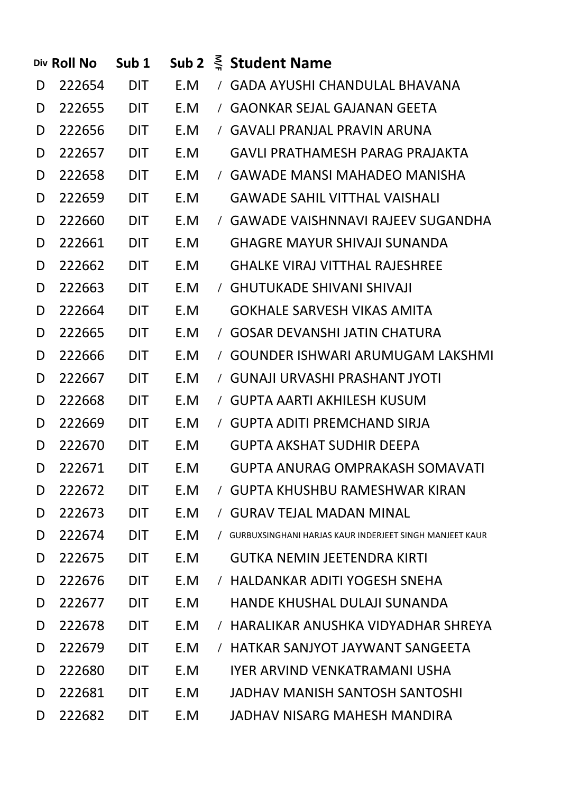|   | Div Roll No | Sub <sub>1</sub> | Sub <sub>2</sub> |            | $\frac{2}{3}$ Student Name                              |
|---|-------------|------------------|------------------|------------|---------------------------------------------------------|
| D | 222654      | DIT              | E.M              | $\sqrt{2}$ | <b>GADA AYUSHI CHANDULAL BHAVANA</b>                    |
| D | 222655      | DIT              | E.M              |            | / GAONKAR SEJAL GAJANAN GEETA                           |
| D | 222656      | <b>DIT</b>       | E.M              |            | / GAVALI PRANJAL PRAVIN ARUNA                           |
| D | 222657      | <b>DIT</b>       | E.M              |            | <b>GAVLI PRATHAMESH PARAG PRAJAKTA</b>                  |
| D | 222658      | <b>DIT</b>       | E.M              |            | / GAWADE MANSI MAHADEO MANISHA                          |
| D | 222659      | <b>DIT</b>       | E.M              |            | <b>GAWADE SAHIL VITTHAL VAISHALI</b>                    |
| D | 222660      | DIT              | E.M              |            | / GAWADE VAISHNNAVI RAJEEV SUGANDHA                     |
| D | 222661      | <b>DIT</b>       | E.M              |            | <b>GHAGRE MAYUR SHIVAJI SUNANDA</b>                     |
| D | 222662      | DIT              | E.M              |            | <b>GHALKE VIRAJ VITTHAL RAJESHREE</b>                   |
| D | 222663      | DIT              | E.M              |            | / GHUTUKADE SHIVANI SHIVAJI                             |
| D | 222664      | DIT              | E.M              |            | <b>GOKHALE SARVESH VIKAS AMITA</b>                      |
| D | 222665      | DIT              | E.M              |            | / GOSAR DEVANSHI JATIN CHATURA                          |
| D | 222666      | DIT              | E.M              |            | / GOUNDER ISHWARI ARUMUGAM LAKSHMI                      |
| D | 222667      | DIT              | E.M              |            | / GUNAJI URVASHI PRASHANT JYOTI                         |
| D | 222668      | DIT              | E.M              |            | / GUPTA AARTI AKHILESH KUSUM                            |
| D | 222669      | DIT              | E.M              |            | / GUPTA ADITI PREMCHAND SIRJA                           |
| D | 222670      | <b>DIT</b>       | E.M              |            | <b>GUPTA AKSHAT SUDHIR DEEPA</b>                        |
| D | 222671      | <b>DIT</b>       | E.M              |            | <b>GUPTA ANURAG OMPRAKASH SOMAVATI</b>                  |
| D | 222672      | <b>DIT</b>       | E.M              | $\sqrt{2}$ | <b>GUPTA KHUSHBU RAMESHWAR KIRAN</b>                    |
| D | 222673      | <b>DIT</b>       | E.M              | $\sqrt{2}$ | <b>GURAV TEJAL MADAN MINAL</b>                          |
| D | 222674      | <b>DIT</b>       | E.M              | $\prime$   | GURBUXSINGHANI HARJAS KAUR INDERJEET SINGH MANJEET KAUR |
| D | 222675      | <b>DIT</b>       | E.M              |            | <b>GUTKA NEMIN JEETENDRA KIRTI</b>                      |
| D | 222676      | <b>DIT</b>       | E.M              | $\prime$   | HALDANKAR ADITI YOGESH SNEHA                            |
| D | 222677      | <b>DIT</b>       | E.M              |            | <b>HANDE KHUSHAL DULAJI SUNANDA</b>                     |
| D | 222678      | <b>DIT</b>       | E.M              | $\prime$   | HARALIKAR ANUSHKA VIDYADHAR SHREYA                      |
| D | 222679      | <b>DIT</b>       | E.M              | $\prime$   | HATKAR SANJYOT JAYWANT SANGEETA                         |
| D | 222680      | <b>DIT</b>       | E.M              |            | IYER ARVIND VENKATRAMANI USHA                           |
| D | 222681      | <b>DIT</b>       | E.M              |            | JADHAV MANISH SANTOSH SANTOSHI                          |
| D | 222682      | <b>DIT</b>       | E.M              |            | JADHAV NISARG MAHESH MANDIRA                            |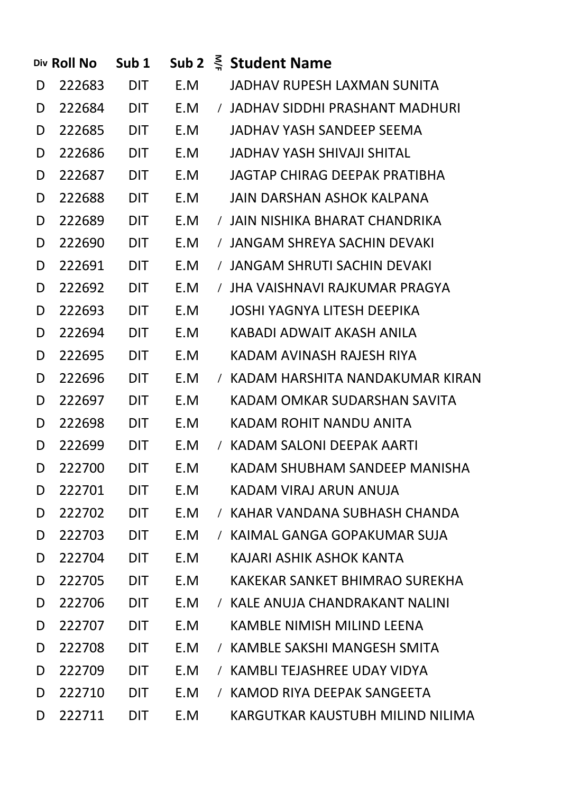|   | Div Roll No | Sub <sub>1</sub> |     |            | Sub 2 $\leq$ Student Name          |
|---|-------------|------------------|-----|------------|------------------------------------|
| D | 222683      | DIT              | E.M |            | JADHAV RUPESH LAXMAN SUNITA        |
| D | 222684      | DIT              | E.M |            | / JADHAV SIDDHI PRASHANT MADHURI   |
| D | 222685      | <b>DIT</b>       | E.M |            | JADHAV YASH SANDEEP SEEMA          |
| D | 222686      | <b>DIT</b>       | E.M |            | JADHAV YASH SHIVAJI SHITAL         |
| D | 222687      | <b>DIT</b>       | E.M |            | JAGTAP CHIRAG DEEPAK PRATIBHA      |
| D | 222688      | <b>DIT</b>       | E.M |            | JAIN DARSHAN ASHOK KALPANA         |
| D | 222689      | DIT              | E.M |            | / JAIN NISHIKA BHARAT CHANDRIKA    |
| D | 222690      | <b>DIT</b>       | E.M |            | / JANGAM SHREYA SACHIN DEVAKI      |
| D | 222691      | DIT              | E.M |            | / JANGAM SHRUTI SACHIN DEVAKI      |
| D | 222692      | <b>DIT</b>       | E.M |            | / JHA VAISHNAVI RAJKUMAR PRAGYA    |
| D | 222693      | <b>DIT</b>       | E.M |            | <b>JOSHI YAGNYA LITESH DEEPIKA</b> |
| D | 222694      | DIT              | E.M |            | KABADI ADWAIT AKASH ANILA          |
| D | 222695      | DIT              | E.M |            | KADAM AVINASH RAJESH RIYA          |
| D | 222696      | <b>DIT</b>       | E.M |            | / KADAM HARSHITA NANDAKUMAR KIRAN  |
| D | 222697      | DIT              | E.M |            | KADAM OMKAR SUDARSHAN SAVITA       |
| D | 222698      | DIT              | E.M |            | KADAM ROHIT NANDU ANITA            |
| D | 222699      | DIT              | E.M |            | / KADAM SALONI DEEPAK AARTI        |
| D | 222700      | <b>DIT</b>       | E.M |            | KADAM SHUBHAM SANDEEP MANISHA      |
| D | 222701      | <b>DIT</b>       | E.M |            | KADAM VIRAJ ARUN ANUJA             |
| D | 222702      | <b>DIT</b>       | E.M | $\prime$   | KAHAR VANDANA SUBHASH CHANDA       |
| D | 222703      | <b>DIT</b>       | E.M | $\prime$   | KAIMAL GANGA GOPAKUMAR SUJA        |
| D | 222704      | <b>DIT</b>       | E.M |            | KAJARI ASHIK ASHOK KANTA           |
| D | 222705      | <b>DIT</b>       | E.M |            | KAKFKAR SANKFT BHIMRAO SURFKHA     |
| D | 222706      | <b>DIT</b>       | E.M | $\prime$   | KALE ANUJA CHANDRAKANT NALINI      |
| D | 222707      | <b>DIT</b>       | E.M |            | KAMBLE NIMISH MILIND LEENA         |
| D | 222708      | <b>DIT</b>       | E.M | $\sqrt{2}$ | KAMBLE SAKSHI MANGESH SMITA        |
| D | 222709      | <b>DIT</b>       | E.M | $\prime$   | KAMBLI TEJASHREE UDAY VIDYA        |
| D | 222710      | <b>DIT</b>       | E.M | $\prime$   | KAMOD RIYA DEEPAK SANGEETA         |
| D | 222711      | <b>DIT</b>       | E.M |            | KARGUTKAR KAUSTUBH MILIND NILIMA   |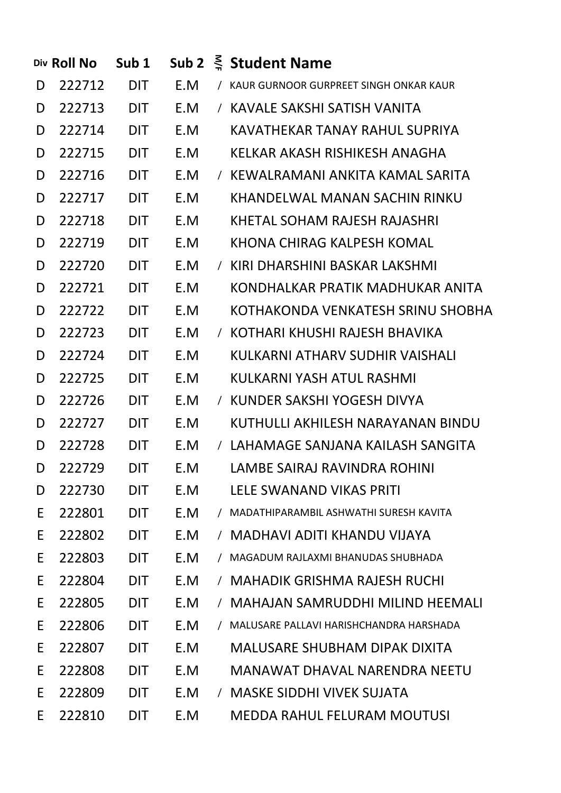|   | Div Roll No | Sub <sub>1</sub> |     |            | Sub 2 $\leq$ Student Name                |
|---|-------------|------------------|-----|------------|------------------------------------------|
| D | 222712      | <b>DIT</b>       | E.M |            | / KAUR GURNOOR GURPREET SINGH ONKAR KAUR |
| D | 222713      | <b>DIT</b>       | E.M |            | / KAVALE SAKSHI SATISH VANITA            |
| D | 222714      | <b>DIT</b>       | E.M |            | KAVATHEKAR TANAY RAHUL SUPRIYA           |
| D | 222715      | <b>DIT</b>       | E.M |            | KELKAR AKASH RISHIKESH ANAGHA            |
| D | 222716      | <b>DIT</b>       | E.M |            | / KEWALRAMANI ANKITA KAMAL SARITA        |
| D | 222717      | <b>DIT</b>       | E.M |            | KHANDELWAL MANAN SACHIN RINKU            |
| D | 222718      | <b>DIT</b>       | E.M |            | KHETAL SOHAM RAJESH RAJASHRI             |
| D | 222719      | <b>DIT</b>       | E.M |            | KHONA CHIRAG KALPESH KOMAL               |
| D | 222720      | <b>DIT</b>       | E.M |            | / KIRI DHARSHINI BASKAR LAKSHMI          |
| D | 222721      | <b>DIT</b>       | E.M |            | KONDHALKAR PRATIK MADHUKAR ANITA         |
| D | 222722      | <b>DIT</b>       | E.M |            | KOTHAKONDA VENKATESH SRINU SHOBHA        |
| D | 222723      | <b>DIT</b>       | E.M |            | / KOTHARI KHUSHI RAJESH BHAVIKA          |
| D | 222724      | <b>DIT</b>       | E.M |            | KULKARNI ATHARV SUDHIR VAISHALI          |
| D | 222725      | <b>DIT</b>       | E.M |            | KULKARNI YASH ATUL RASHMI                |
| D | 222726      | <b>DIT</b>       | E.M |            | / KUNDER SAKSHI YOGESH DIVYA             |
| D | 222727      | <b>DIT</b>       | E.M |            | KUTHULLI AKHILESH NARAYANAN BINDU        |
| D | 222728      | <b>DIT</b>       | E.M |            | / LAHAMAGE SANJANA KAILASH SANGITA       |
| D | 222729      | <b>DIT</b>       | E.M |            | LAMBE SAIRAJ RAVINDRA ROHINI             |
| D | 222730      | <b>DIT</b>       | E.M |            | LELE SWANAND VIKAS PRITI                 |
| E | 222801      | <b>DIT</b>       | E.M | $\prime$   | MADATHIPARAMBIL ASHWATHI SURESH KAVITA   |
| E | 222802      | <b>DIT</b>       | E.M | $\sqrt{2}$ | MADHAVI ADITI KHANDU VIJAYA              |
| E | 222803      | <b>DIT</b>       | E.M |            | MAGADUM RAJLAXMI BHANUDAS SHUBHADA       |
| E | 222804      | <b>DIT</b>       | E.M |            | <b>MAHADIK GRISHMA RAJESH RUCHI</b>      |
| E | 222805      | <b>DIT</b>       | E.M | $\prime$   | <b>MAHAJAN SAMRUDDHI MILIND HEEMALI</b>  |
| E | 222806      | <b>DIT</b>       | E.M |            | MALUSARE PALLAVI HARISHCHANDRA HARSHADA  |
| E | 222807      | <b>DIT</b>       | E.M |            | <b>MALUSARE SHUBHAM DIPAK DIXITA</b>     |
| E | 222808      | <b>DIT</b>       | E.M |            | MANAWAT DHAVAL NARENDRA NEETU            |
| E | 222809      | <b>DIT</b>       | E.M |            | / MASKE SIDDHI VIVEK SUJATA              |
| E | 222810      | <b>DIT</b>       | E.M |            | <b>MEDDA RAHUL FELURAM MOUTUSI</b>       |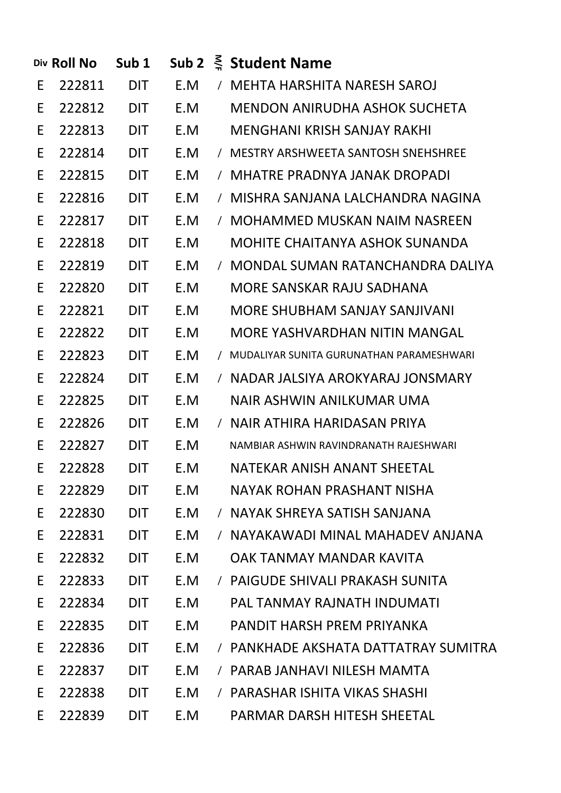|    | Div Roll No | Sub <sub>1</sub> |     |            | Sub 2 $\leq$ Student Name                  |
|----|-------------|------------------|-----|------------|--------------------------------------------|
| E  | 222811      | <b>DIT</b>       | E.M |            | / MEHTA HARSHITA NARESH SAROJ              |
| E  | 222812      | <b>DIT</b>       | E.M |            | MENDON ANIRUDHA ASHOK SUCHETA              |
| E  | 222813      | <b>DIT</b>       | E.M |            | MENGHANI KRISH SANJAY RAKHI                |
| E  | 222814      | <b>DIT</b>       | E.M |            | / MESTRY ARSHWEETA SANTOSH SNEHSHREE       |
| E  | 222815      | <b>DIT</b>       | E.M |            | / MHATRE PRADNYA JANAK DROPADI             |
| E  | 222816      | <b>DIT</b>       | E.M |            | / MISHRA SANJANA LALCHANDRA NAGINA         |
| E  | 222817      | <b>DIT</b>       | E.M |            | / MOHAMMED MUSKAN NAIM NASREEN             |
| E  | 222818      | <b>DIT</b>       | E.M |            | MOHITE CHAITANYA ASHOK SUNANDA             |
| E  | 222819      | <b>DIT</b>       | E.M |            | / MONDAL SUMAN RATANCHANDRA DALIYA         |
| E  | 222820      | <b>DIT</b>       | E.M |            | MORE SANSKAR RAJU SADHANA                  |
| E  | 222821      | <b>DIT</b>       | E.M |            | MORE SHUBHAM SANJAY SANJIVANI              |
| E  | 222822      | <b>DIT</b>       | E.M |            | MORE YASHVARDHAN NITIN MANGAL              |
| E  | 222823      | <b>DIT</b>       | E.M |            | / MUDALIYAR SUNITA GURUNATHAN PARAMESHWARI |
| E  | 222824      | <b>DIT</b>       | E.M |            | / NADAR JALSIYA AROKYARAJ JONSMARY         |
| E  | 222825      | <b>DIT</b>       | E.M |            | NAIR ASHWIN ANILKUMAR UMA                  |
| E  | 222826      | <b>DIT</b>       | E.M |            | / NAIR ATHIRA HARIDASAN PRIYA              |
| E. | 222827      | <b>DIT</b>       | E.M |            | NAMBIAR ASHWIN RAVINDRANATH RAJESHWARI     |
| E. | 222828      | <b>DIT</b>       | E.M |            | NATEKAR ANISH ANANT SHEETAL                |
| E  | 222829      | <b>DIT</b>       | E.M |            | NAYAK ROHAN PRASHANT NISHA                 |
| E  | 222830      | DIT              | E.M |            | / NAYAK SHREYA SATISH SANJANA              |
| E  | 222831      | <b>DIT</b>       | E.M | $\prime$   | NAYAKAWADI MINAL MAHADEV ANJANA            |
| E  | 222832      | <b>DIT</b>       | E.M |            | OAK TANMAY MANDAR KAVITA                   |
| E  | 222833      | <b>DIT</b>       | E.M | $\sqrt{2}$ | PAIGUDE SHIVALI PRAKASH SUNITA             |
| E  | 222834      | <b>DIT</b>       | E.M |            | PAL TANMAY RAJNATH INDUMATI                |
| E  | 222835      | <b>DIT</b>       | E.M |            | PANDIT HARSH PREM PRIYANKA                 |
| E  | 222836      | <b>DIT</b>       | E.M |            | / PANKHADE AKSHATA DATTATRAY SUMITRA       |
| E  | 222837      | <b>DIT</b>       | E.M | $\prime$   | PARAB JANHAVI NILESH MAMTA                 |
| E  | 222838      | <b>DIT</b>       | E.M |            | / PARASHAR ISHITA VIKAS SHASHI             |
| E  | 222839      | <b>DIT</b>       | E.M |            | PARMAR DARSH HITESH SHEETAL                |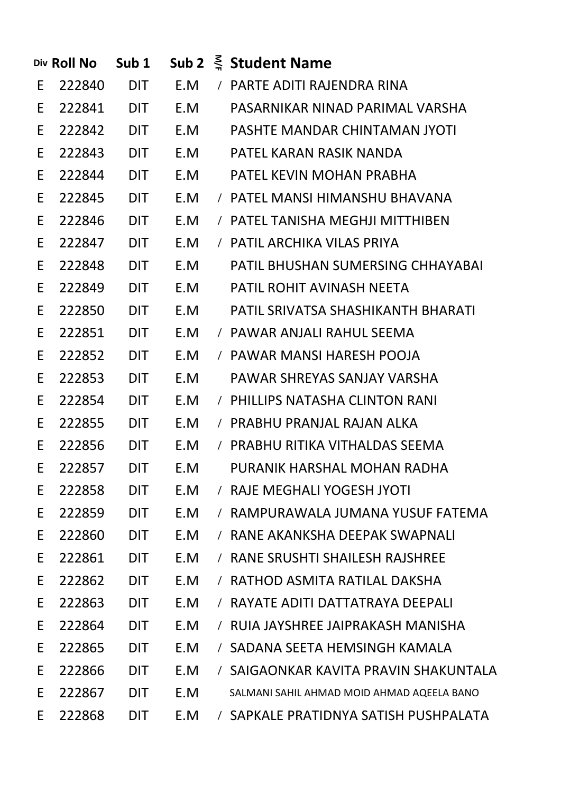|    | Div Roll No  | Sub <sub>1</sub> |     |          | Sub 2 $\leq$ Student Name                  |
|----|--------------|------------------|-----|----------|--------------------------------------------|
| E  | 222840       | <b>DIT</b>       |     |          | E.M / PARTE ADITI RAJENDRA RINA            |
| E  | 222841 DIT   |                  | E.M |          | PASARNIKAR NINAD PARIMAL VARSHA            |
| E  | 222842 DIT   |                  |     |          | E.M PASHTE MANDAR CHINTAMAN JYOTI          |
| E  | 222843 DIT   |                  |     |          | E.M PATEL KARAN RASIK NANDA                |
| E  | 222844 DIT   |                  | E.M |          | PATEL KEVIN MOHAN PRABHA                   |
| E. | 222845 DIT   |                  | E.M |          | / PATEL MANSI HIMANSHU BHAVANA             |
| E  | 222846 DIT   |                  | E.M |          | / PATEL TANISHA MEGHJI MITTHIBEN           |
| E  | 222847 DIT   |                  | E.M |          | / PATIL ARCHIKA VILAS PRIYA                |
| E  | 222848 DIT   |                  | E.M |          | <b>PATIL BHUSHAN SUMERSING CHHAYABAI</b>   |
| E  | 222849 DIT   |                  | E.M |          | <b>PATIL ROHIT AVINASH NEETA</b>           |
| E  | 222850 DIT   |                  | E.M |          | PATIL SRIVATSA SHASHIKANTH BHARATI         |
| E  | 222851 DIT   |                  | E.M |          | / PAWAR ANJALI RAHUL SEEMA                 |
| E. | 222852 DIT   |                  | E.M |          | / PAWAR MANSI HARESH POOJA                 |
| E  | 222853 DIT   |                  | E.M |          | PAWAR SHREYAS SANJAY VARSHA                |
| E. | 222854 DIT   |                  | E.M |          | / PHILLIPS NATASHA CLINTON RANI            |
| E. | 222855 DIT   |                  | E.M |          | / PRABHU PRANJAL RAJAN ALKA                |
|    | E 222856 DIT |                  | E.M |          | / PRABHU RITIKA VITHALDAS SEEMA            |
| E. | 222857       | <b>DIT</b>       | E.M |          | PURANIK HARSHAL MOHAN RADHA                |
| E  | 222858       | <b>DIT</b>       | E.M | $\prime$ | RAJE MEGHALI YOGESH JYOTI                  |
| E  | 222859       | <b>DIT</b>       | E.M |          | RAMPURAWALA JUMANA YUSUF FATEMA            |
| E  | 222860       | <b>DIT</b>       | E.M | $\prime$ | RANE AKANKSHA DEEPAK SWAPNALI              |
| E  | 222861       | <b>DIT</b>       | E.M |          | RANE SRUSHTI SHAILESH RAJSHREE             |
| E  | 222862       | <b>DIT</b>       | E.M | $\prime$ | RATHOD ASMITA RATILAL DAKSHA               |
| E  | 222863       | <b>DIT</b>       | E.M |          | RAYATE ADITI DATTATRAYA DEEPALI            |
| E  | 222864       | <b>DIT</b>       | E.M |          | RUIA JAYSHREE JAIPRAKASH MANISHA           |
| E  | 222865       | <b>DIT</b>       | E.M |          | SADANA SEETA HEMSINGH KAMALA               |
| E  | 222866       | <b>DIT</b>       | E.M |          | SAIGAONKAR KAVITA PRAVIN SHAKUNTALA        |
| E  | 222867       | <b>DIT</b>       | E.M |          | SALMANI SAHIL AHMAD MOID AHMAD AQEELA BANO |
| E  | 222868       | <b>DIT</b>       | E.M |          | SAPKALE PRATIDNYA SATISH PUSHPALATA        |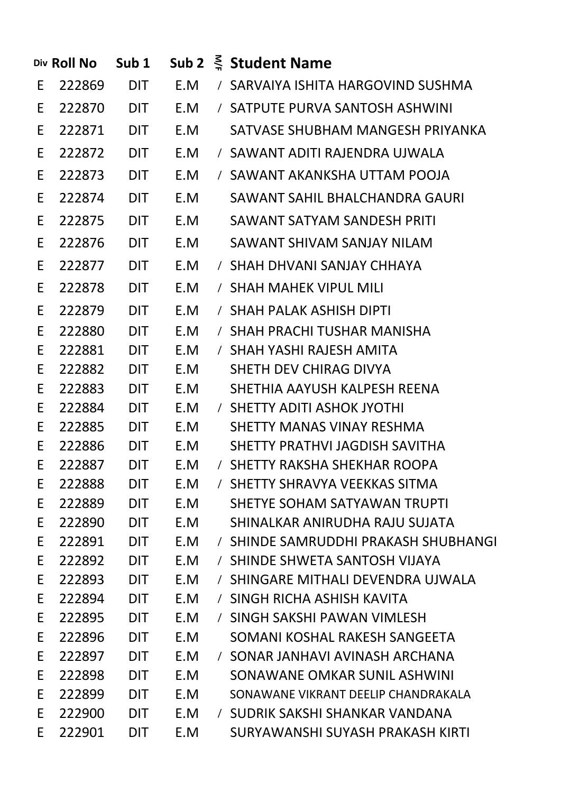|    | Div Roll No | Sub 1      |     | Sub 2 $\leq$ Student Name            |
|----|-------------|------------|-----|--------------------------------------|
| E  | 222869      | <b>DIT</b> | E.M | / SARVAIYA ISHITA HARGOVIND SUSHMA   |
| E  | 222870      | <b>DIT</b> | E.M | / SATPUTE PURVA SANTOSH ASHWINI      |
| E  | 222871      | <b>DIT</b> | E.M | SATVASE SHUBHAM MANGESH PRIYANKA     |
| E  | 222872      | <b>DIT</b> | E.M | / SAWANT ADITI RAJENDRA UJWALA       |
| E  | 222873      | <b>DIT</b> | E.M | / SAWANT AKANKSHA UTTAM POOJA        |
| E  | 222874      | <b>DIT</b> | E.M | SAWANT SAHIL BHALCHANDRA GAURI       |
| E  | 222875      | <b>DIT</b> | E.M | SAWANT SATYAM SANDESH PRITI          |
| E  | 222876      | <b>DIT</b> | E.M | SAWANT SHIVAM SANJAY NILAM           |
| E  | 222877      | <b>DIT</b> | E.M | / SHAH DHVANI SANJAY CHHAYA          |
| E  | 222878      | <b>DIT</b> | E.M | / SHAH MAHEK VIPUL MILI              |
| E  | 222879      | <b>DIT</b> | E.M | / SHAH PALAK ASHISH DIPTI            |
| E  | 222880      | <b>DIT</b> | E.M | / SHAH PRACHI TUSHAR MANISHA         |
| E. | 222881      | <b>DIT</b> | E.M | / SHAH YASHI RAJESH AMITA            |
| E. | 222882      | <b>DIT</b> | E.M | SHETH DEV CHIRAG DIVYA               |
| E  | 222883      | <b>DIT</b> | E.M | SHETHIA AAYUSH KALPESH REENA         |
| E  | 222884      | <b>DIT</b> | E.M | / SHETTY ADITI ASHOK JYOTHI          |
| E. | 222885      | <b>DIT</b> | E.M | SHETTY MANAS VINAY RESHMA            |
| E. | 222886      | <b>DIT</b> | E.M | SHETTY PRATHVI JAGDISH SAVITHA       |
| E  | 222887      | <b>DIT</b> | E.M | / SHETTY RAKSHA SHEKHAR ROOPA        |
| E  | 222888      | <b>DIT</b> | E.M | / SHETTY SHRAVYA VEEKKAS SITMA       |
| E  | 222889      | DIT        | E.M | SHETYE SOHAM SATYAWAN TRUPTI         |
| E  | 222890      | <b>DIT</b> | E.M | SHINALKAR ANIRUDHA RAJU SUJATA       |
| E  | 222891      | <b>DIT</b> | E.M | / SHINDE SAMRUDDHI PRAKASH SHUBHANGI |
| E  | 222892      | <b>DIT</b> | E.M | / SHINDE SHWETA SANTOSH VIJAYA       |
| E  | 222893      | <b>DIT</b> | E.M | / SHINGARE MITHALI DEVENDRA UJWALA   |
| E. | 222894      | <b>DIT</b> | E.M | / SINGH RICHA ASHISH KAVITA          |
| E  | 222895      | <b>DIT</b> | E.M | / SINGH SAKSHI PAWAN VIMLESH         |
| E  | 222896      | <b>DIT</b> | E.M | SOMANI KOSHAL RAKESH SANGEETA        |
| E  | 222897      | <b>DIT</b> | E.M | / SONAR JANHAVI AVINASH ARCHANA      |
| E  | 222898      | <b>DIT</b> | E.M | SONAWANE OMKAR SUNIL ASHWINI         |
| E  | 222899      | <b>DIT</b> | E.M | SONAWANE VIKRANT DEELIP CHANDRAKALA  |
| E  | 222900      | <b>DIT</b> | E.M | / SUDRIK SAKSHI SHANKAR VANDANA      |
| E  | 222901      | <b>DIT</b> | E.M | SURYAWANSHI SUYASH PRAKASH KIRTI     |